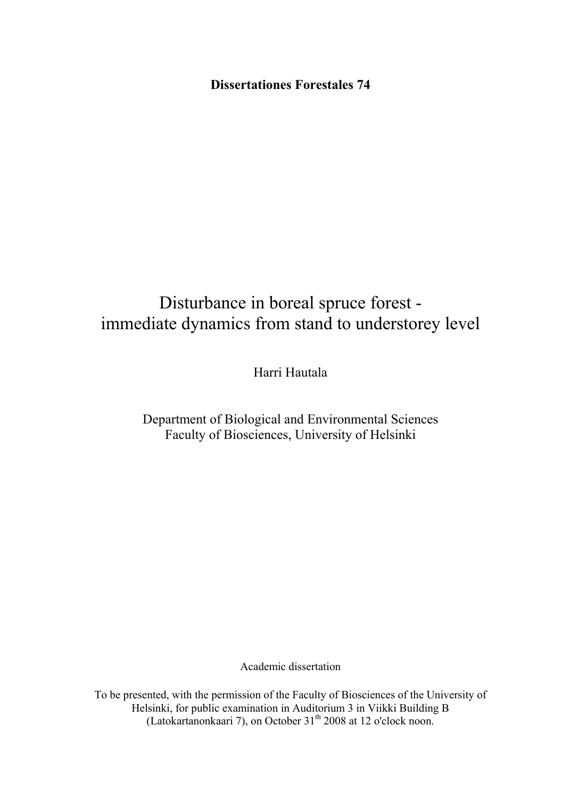**Dissertationes Forestales 74** 

# Disturbance in boreal spruce forest immediate dynamics from stand to understorey level

Harri Hautala

# Department of Biological and Environmental Sciences Faculty of Biosciences, University of Helsinki

Academic dissertation

To be presented, with the permission of the Faculty of Biosciences of the University of Helsinki, for public examination in Auditorium 3 in Viikki Building B (Latokartanonkaari 7), on October 31<sup>th</sup> 2008 at 12 o'clock noon.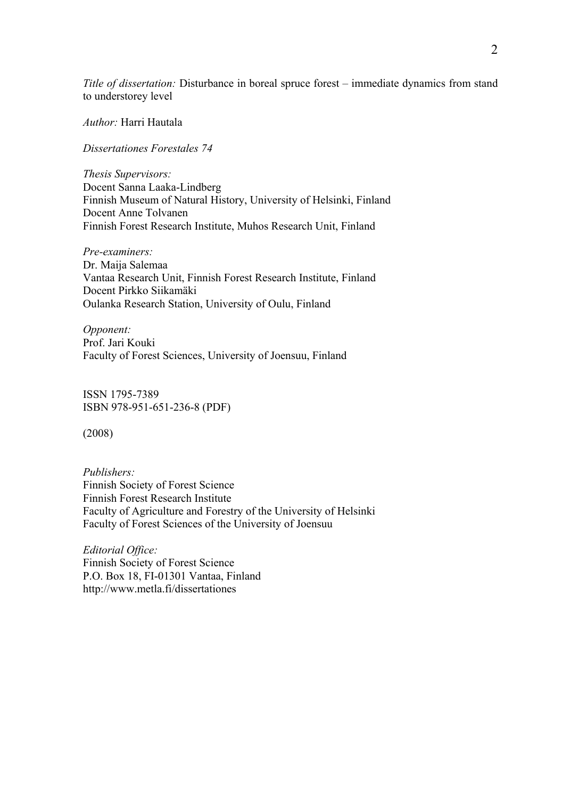*Title of dissertation:* Disturbance in boreal spruce forest – immediate dynamics from stand to understorey level

*Author:* Harri Hautala

*Dissertationes Forestales 74* 

*Thesis Supervisors:*  Docent Sanna Laaka-Lindberg Finnish Museum of Natural History, University of Helsinki, Finland Docent Anne Tolvanen Finnish Forest Research Institute, Muhos Research Unit, Finland

*Pre-examiners:*  Dr. Maija Salemaa Vantaa Research Unit, Finnish Forest Research Institute, Finland Docent Pirkko Siikamäki Oulanka Research Station, University of Oulu, Finland

*Opponent:*  Prof. Jari Kouki Faculty of Forest Sciences, University of Joensuu, Finland

ISSN 1795-7389 ISBN 978-951-651-236-8 (PDF)

(2008)

*Publishers:*  Finnish Society of Forest Science Finnish Forest Research Institute Faculty of Agriculture and Forestry of the University of Helsinki Faculty of Forest Sciences of the University of Joensuu

*Editorial Office:*  Finnish Society of Forest Science P.O. Box 18, FI-01301 Vantaa, Finland http://www.metla.fi/dissertationes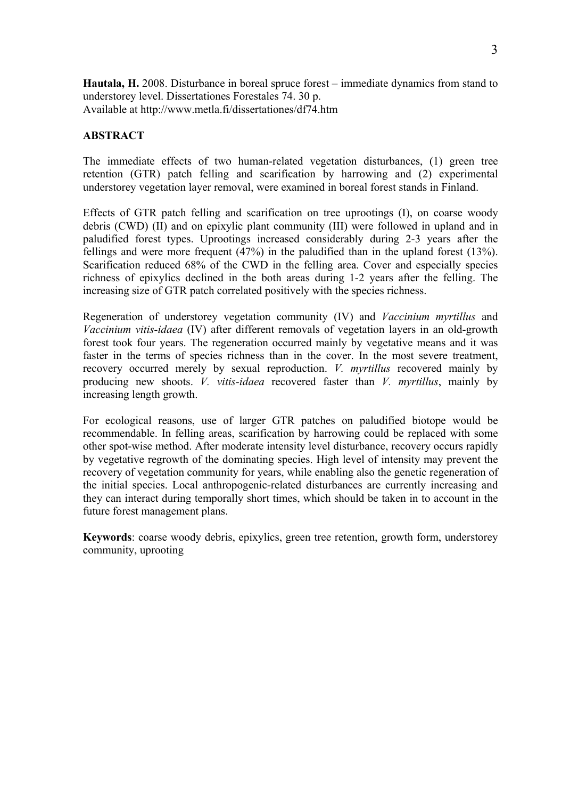**Hautala, H.** 2008. Disturbance in boreal spruce forest – immediate dynamics from stand to understorey level. Dissertationes Forestales 74. 30 p. Available at http://www.metla.fi/dissertationes/df74.htm

# **ABSTRACT**

The immediate effects of two human-related vegetation disturbances, (1) green tree retention (GTR) patch felling and scarification by harrowing and (2) experimental understorey vegetation layer removal, were examined in boreal forest stands in Finland.

Effects of GTR patch felling and scarification on tree uprootings (I), on coarse woody debris (CWD) (II) and on epixylic plant community (III) were followed in upland and in paludified forest types. Uprootings increased considerably during 2-3 years after the fellings and were more frequent (47%) in the paludified than in the upland forest (13%). Scarification reduced 68% of the CWD in the felling area. Cover and especially species richness of epixylics declined in the both areas during 1-2 years after the felling. The increasing size of GTR patch correlated positively with the species richness.

Regeneration of understorey vegetation community (IV) and *Vaccinium myrtillus* and *Vaccinium vitis-idaea* (IV) after different removals of vegetation layers in an old-growth forest took four years. The regeneration occurred mainly by vegetative means and it was faster in the terms of species richness than in the cover. In the most severe treatment, recovery occurred merely by sexual reproduction. *V. myrtillus* recovered mainly by producing new shoots. *V. vitis-idaea* recovered faster than *V. myrtillus*, mainly by increasing length growth.

For ecological reasons, use of larger GTR patches on paludified biotope would be recommendable. In felling areas, scarification by harrowing could be replaced with some other spot-wise method. After moderate intensity level disturbance, recovery occurs rapidly by vegetative regrowth of the dominating species. High level of intensity may prevent the recovery of vegetation community for years, while enabling also the genetic regeneration of the initial species. Local anthropogenic-related disturbances are currently increasing and they can interact during temporally short times, which should be taken in to account in the future forest management plans.

**Keywords**: coarse woody debris, epixylics, green tree retention, growth form, understorey community, uprooting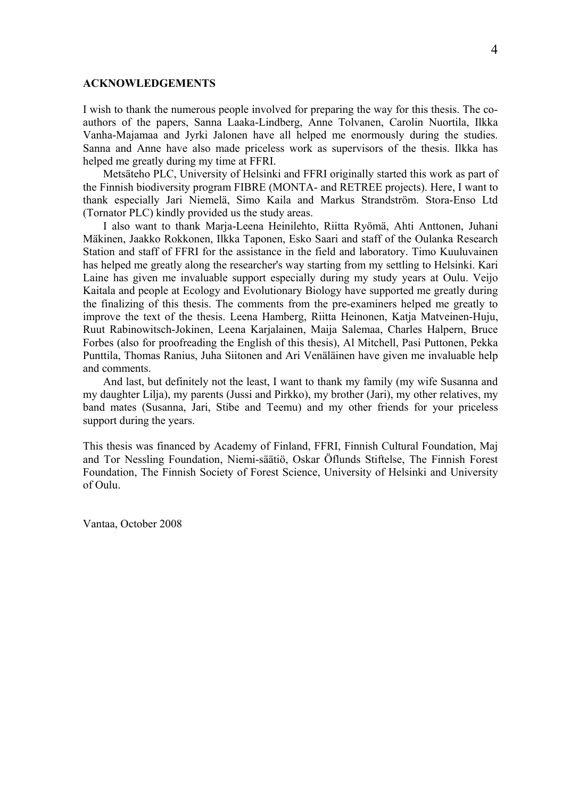#### **ACKNOWLEDGEMENTS**

I wish to thank the numerous people involved for preparing the way for this thesis. The coauthors of the papers, Sanna Laaka-Lindberg, Anne Tolvanen, Carolin Nuortila, Ilkka Vanha-Majamaa and Jyrki Jalonen have all helped me enormously during the studies. Sanna and Anne have also made priceless work as supervisors of the thesis. Ilkka has helped me greatly during my time at FFRI.

Metsäteho PLC, University of Helsinki and FFRI originally started this work as part of the Finnish biodiversity program FIBRE (MONTA- and RETREE projects). Here, I want to thank especially Jari Niemelä, Simo Kaila and Markus Strandström. Stora-Enso Ltd (Tornator PLC) kindly provided us the study areas.

I also want to thank Marja-Leena Heinilehto, Riitta Ryömä, Ahti Anttonen, Juhani Mäkinen, Jaakko Rokkonen, Ilkka Taponen, Esko Saari and staff of the Oulanka Research Station and staff of FFRI for the assistance in the field and laboratory. Timo Kuuluvainen has helped me greatly along the researcher's way starting from my settling to Helsinki. Kari Laine has given me invaluable support especially during my study years at Oulu. Veijo Kaitala and people at Ecology and Evolutionary Biology have supported me greatly during the finalizing of this thesis. The comments from the pre-examiners helped me greatly to improve the text of the thesis. Leena Hamberg, Riitta Heinonen, Katja Matveinen-Huju, Ruut Rabinowitsch-Jokinen, Leena Karjalainen, Maija Salemaa, Charles Halpern, Bruce Forbes (also for proofreading the English of this thesis), Al Mitchell, Pasi Puttonen, Pekka Punttila, Thomas Ranius, Juha Siitonen and Ari Venäläinen have given me invaluable help and comments.

And last, but definitely not the least, I want to thank my family (my wife Susanna and my daughter Lilja), my parents (Jussi and Pirkko), my brother (Jari), my other relatives, my band mates (Susanna, Jari, Stibe and Teemu) and my other friends for your priceless support during the years.

This thesis was financed by Academy of Finland, FFRI, Finnish Cultural Foundation, Maj and Tor Nessling Foundation, Niemi-säätiö, Oskar Öflunds Stiftelse, The Finnish Forest Foundation, The Finnish Society of Forest Science, University of Helsinki and University of Oulu.

Vantaa, October 2008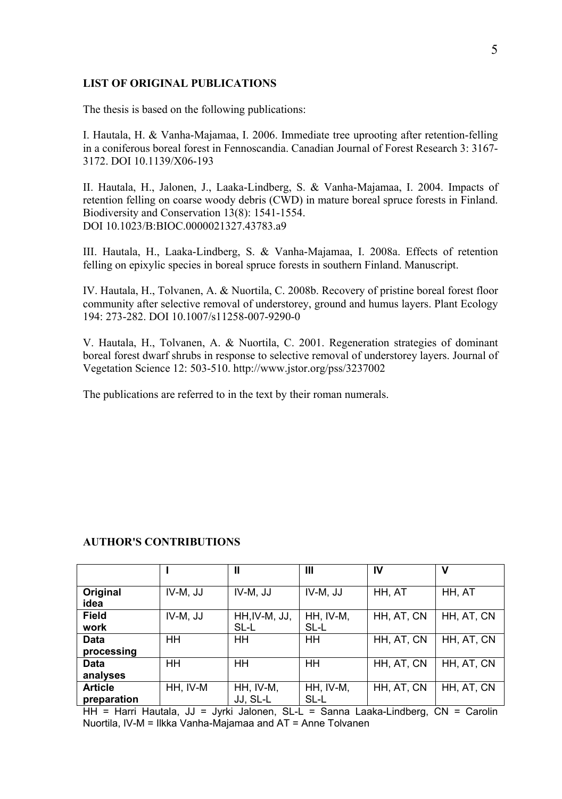#### **LIST OF ORIGINAL PUBLICATIONS**

The thesis is based on the following publications:

I. Hautala, H. & Vanha-Majamaa, I. 2006. Immediate tree uprooting after retention-felling in a coniferous boreal forest in Fennoscandia. Canadian Journal of Forest Research 3: 3167- 3172. DOI 10.1139/X06-193

II. Hautala, H., Jalonen, J., Laaka-Lindberg, S. & Vanha-Majamaa, I. 2004. Impacts of retention felling on coarse woody debris (CWD) in mature boreal spruce forests in Finland. Biodiversity and Conservation 13(8): 1541-1554. DOI 10.1023/B:BIOC.0000021327.43783.a9

III. Hautala, H., Laaka-Lindberg, S. & Vanha-Majamaa, I. 2008a. Effects of retention felling on epixylic species in boreal spruce forests in southern Finland. Manuscript.

IV. Hautala, H., Tolvanen, A. & Nuortila, C. 2008b. Recovery of pristine boreal forest floor community after selective removal of understorey, ground and humus layers. Plant Ecology 194: 273-282. DOI 10.1007/s11258-007-9290-0

V. Hautala, H., Tolvanen, A. & Nuortila, C. 2001. Regeneration strategies of dominant boreal forest dwarf shrubs in response to selective removal of understorey layers. Journal of Vegetation Science 12: 503-510. http://www.jstor.org/pss/3237002

The publications are referred to in the text by their roman numerals.

|                               |          | Ш                     | Ш                 | IV         | v          |
|-------------------------------|----------|-----------------------|-------------------|------------|------------|
| Original<br>idea              | IV-M, JJ | IV-M, JJ              | IV-M, JJ          | HH, AT     | HH, AT     |
| <b>Field</b><br>work          | IV-M, JJ | HH, IV-M, JJ,<br>SL-L | HH, IV-M,<br>SL-L | HH, AT, CN | HH. AT. CN |
| <b>Data</b><br>processing     | HH       | HH                    | HH.               | HH, AT, CN | HH, AT, CN |
| <b>Data</b><br>analyses       | HH       | HH                    | HH                | HH, AT, CN | HH, AT, CN |
| <b>Article</b><br>preparation | HH, IV-M | HH, IV-M,<br>JJ, SL-L | HH, IV-M,<br>SL-L | HH, AT, CN | HH, AT, CN |

#### **AUTHOR'S CONTRIBUTIONS**

HH = Harri Hautala, JJ = Jyrki Jalonen, SL-L = Sanna Laaka-Lindberg, CN = Carolin Nuortila, IV-M = Ilkka Vanha-Majamaa and AT = Anne Tolvanen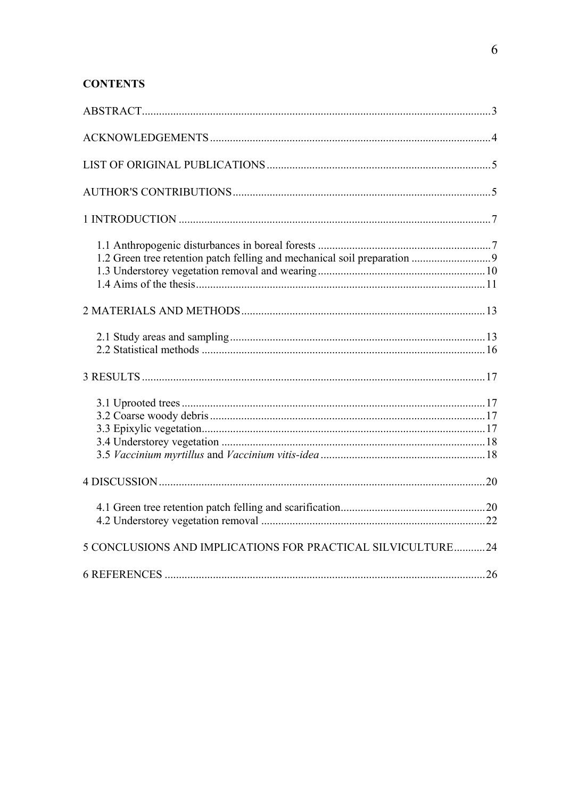# **CONTENTS**

| 5 CONCLUSIONS AND IMPLICATIONS FOR PRACTICAL SILVICULTURE24 |  |
|-------------------------------------------------------------|--|
|                                                             |  |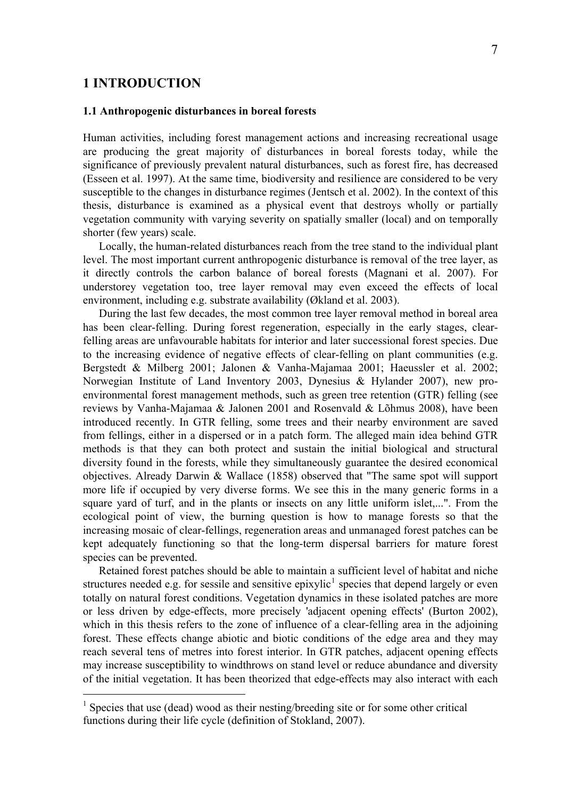# **1 INTRODUCTION**

 $\overline{a}$ 

#### **1.1 Anthropogenic disturbances in boreal forests**

Human activities, including forest management actions and increasing recreational usage are producing the great majority of disturbances in boreal forests today, while the significance of previously prevalent natural disturbances, such as forest fire, has decreased (Esseen et al. 1997). At the same time, biodiversity and resilience are considered to be very susceptible to the changes in disturbance regimes (Jentsch et al. 2002). In the context of this thesis, disturbance is examined as a physical event that destroys wholly or partially vegetation community with varying severity on spatially smaller (local) and on temporally shorter (few years) scale.

Locally, the human-related disturbances reach from the tree stand to the individual plant level. The most important current anthropogenic disturbance is removal of the tree layer, as it directly controls the carbon balance of boreal forests (Magnani et al. 2007). For understorey vegetation too, tree layer removal may even exceed the effects of local environment, including e.g. substrate availability (Økland et al. 2003).

During the last few decades, the most common tree layer removal method in boreal area has been clear-felling. During forest regeneration, especially in the early stages, clearfelling areas are unfavourable habitats for interior and later successional forest species. Due to the increasing evidence of negative effects of clear-felling on plant communities (e.g. Bergstedt & Milberg 2001; Jalonen & Vanha-Majamaa 2001; Haeussler et al. 2002; Norwegian Institute of Land Inventory 2003, Dynesius & Hylander 2007), new proenvironmental forest management methods, such as green tree retention (GTR) felling (see reviews by Vanha-Majamaa & Jalonen 2001 and Rosenvald & Lõhmus 2008), have been introduced recently. In GTR felling, some trees and their nearby environment are saved from fellings, either in a dispersed or in a patch form. The alleged main idea behind GTR methods is that they can both protect and sustain the initial biological and structural diversity found in the forests, while they simultaneously guarantee the desired economical objectives. Already Darwin & Wallace (1858) observed that "The same spot will support more life if occupied by very diverse forms. We see this in the many generic forms in a square yard of turf, and in the plants or insects on any little uniform islet,...". From the ecological point of view, the burning question is how to manage forests so that the increasing mosaic of clear-fellings, regeneration areas and unmanaged forest patches can be kept adequately functioning so that the long-term dispersal barriers for mature forest species can be prevented.

Retained forest patches should be able to maintain a sufficient level of habitat and niche structures needed e.g. for sessile and sensitive epixylic<sup>[1](#page-6-0)</sup> species that depend largely or even totally on natural forest conditions. Vegetation dynamics in these isolated patches are more or less driven by edge-effects, more precisely 'adjacent opening effects' (Burton 2002), which in this thesis refers to the zone of influence of a clear-felling area in the adjoining forest. These effects change abiotic and biotic conditions of the edge area and they may reach several tens of metres into forest interior. In GTR patches, adjacent opening effects may increase susceptibility to windthrows on stand level or reduce abundance and diversity of the initial vegetation. It has been theorized that edge-effects may also interact with each

<span id="page-6-0"></span><sup>&</sup>lt;sup>1</sup> Species that use (dead) wood as their nesting/breeding site or for some other critical functions during their life cycle (definition of Stokland, 2007).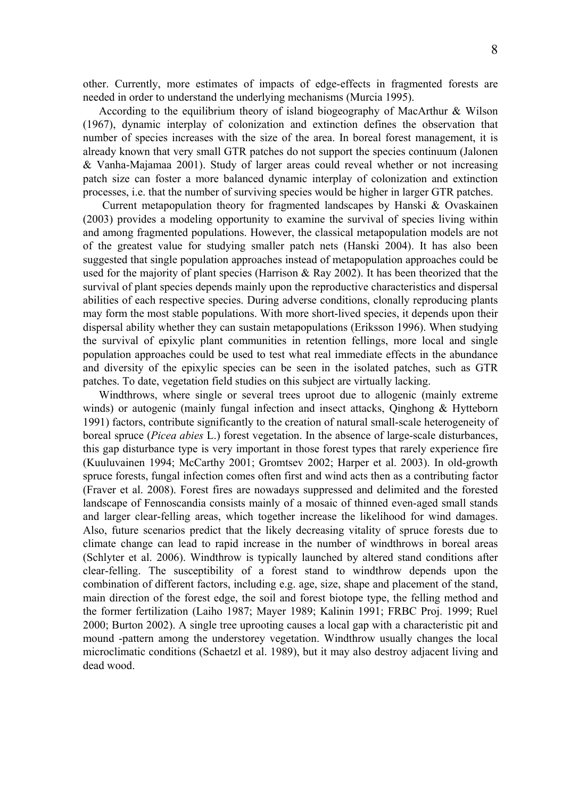other. Currently, more estimates of impacts of edge-effects in fragmented forests are needed in order to understand the underlying mechanisms (Murcia 1995).

According to the equilibrium theory of island biogeography of MacArthur & Wilson (1967), dynamic interplay of colonization and extinction defines the observation that number of species increases with the size of the area. In boreal forest management, it is already known that very small GTR patches do not support the species continuum (Jalonen & Vanha-Majamaa 2001). Study of larger areas could reveal whether or not increasing patch size can foster a more balanced dynamic interplay of colonization and extinction processes, i.e. that the number of surviving species would be higher in larger GTR patches.

Current metapopulation theory for fragmented landscapes by Hanski & Ovaskainen (2003) provides a modeling opportunity to examine the survival of species living within and among fragmented populations. However, the classical metapopulation models are not of the greatest value for studying smaller patch nets (Hanski 2004). It has also been suggested that single population approaches instead of metapopulation approaches could be used for the majority of plant species (Harrison & Ray 2002). It has been theorized that the survival of plant species depends mainly upon the reproductive characteristics and dispersal abilities of each respective species. During adverse conditions, clonally reproducing plants may form the most stable populations. With more short-lived species, it depends upon their dispersal ability whether they can sustain metapopulations (Eriksson 1996). When studying the survival of epixylic plant communities in retention fellings, more local and single population approaches could be used to test what real immediate effects in the abundance and diversity of the epixylic species can be seen in the isolated patches, such as GTR patches. To date, vegetation field studies on this subject are virtually lacking.

Windthrows, where single or several trees uproot due to allogenic (mainly extreme winds) or autogenic (mainly fungal infection and insect attacks, Qinghong & Hytteborn 1991) factors, contribute significantly to the creation of natural small-scale heterogeneity of boreal spruce (*Picea abies* L.) forest vegetation. In the absence of large-scale disturbances, this gap disturbance type is very important in those forest types that rarely experience fire (Kuuluvainen 1994; McCarthy 2001; Gromtsev 2002; Harper et al. 2003). In old-growth spruce forests, fungal infection comes often first and wind acts then as a contributing factor (Fraver et al. 2008). Forest fires are nowadays suppressed and delimited and the forested landscape of Fennoscandia consists mainly of a mosaic of thinned even-aged small stands and larger clear-felling areas, which together increase the likelihood for wind damages. Also, future scenarios predict that the likely decreasing vitality of spruce forests due to climate change can lead to rapid increase in the number of windthrows in boreal areas (Schlyter et al. 2006). Windthrow is typically launched by altered stand conditions after clear-felling. The susceptibility of a forest stand to windthrow depends upon the combination of different factors, including e.g. age, size, shape and placement of the stand, main direction of the forest edge, the soil and forest biotope type, the felling method and the former fertilization (Laiho 1987; Mayer 1989; Kalinin 1991; FRBC Proj. 1999; Ruel 2000; Burton 2002). A single tree uprooting causes a local gap with a characteristic pit and mound -pattern among the understorey vegetation. Windthrow usually changes the local microclimatic conditions (Schaetzl et al. 1989), but it may also destroy adjacent living and dead wood.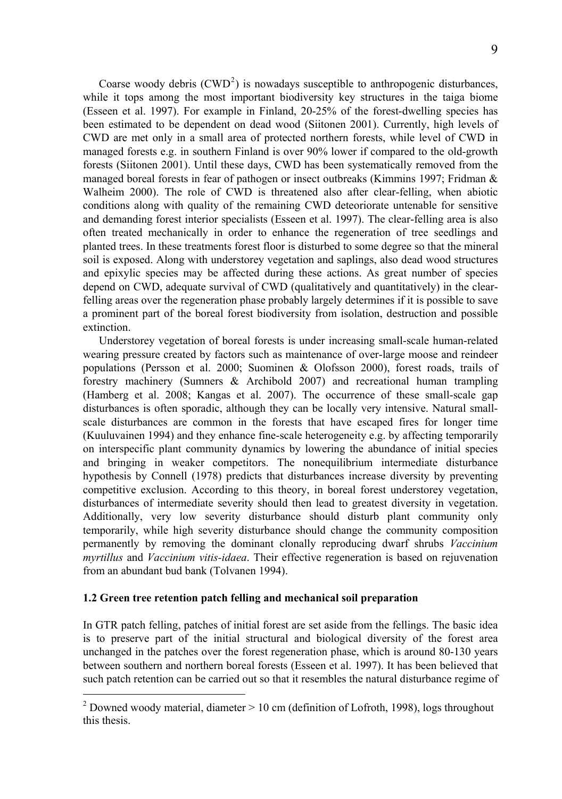Coarse woody debris  $(CWD^2)$  $(CWD^2)$  $(CWD^2)$  is nowadays susceptible to anthropogenic disturbances, while it tops among the most important biodiversity key structures in the taiga biome (Esseen et al. 1997). For example in Finland, 20-25% of the forest-dwelling species has been estimated to be dependent on dead wood (Siitonen 2001). Currently, high levels of CWD are met only in a small area of protected northern forests, while level of CWD in managed forests e.g. in southern Finland is over 90% lower if compared to the old-growth forests (Siitonen 2001). Until these days, CWD has been systematically removed from the managed boreal forests in fear of pathogen or insect outbreaks (Kimmins 1997; Fridman & Walheim 2000). The role of CWD is threatened also after clear-felling, when abiotic conditions along with quality of the remaining CWD deteoriorate untenable for sensitive and demanding forest interior specialists (Esseen et al. 1997). The clear-felling area is also often treated mechanically in order to enhance the regeneration of tree seedlings and planted trees. In these treatments forest floor is disturbed to some degree so that the mineral soil is exposed. Along with understorey vegetation and saplings, also dead wood structures and epixylic species may be affected during these actions. As great number of species depend on CWD, adequate survival of CWD (qualitatively and quantitatively) in the clearfelling areas over the regeneration phase probably largely determines if it is possible to save a prominent part of the boreal forest biodiversity from isolation, destruction and possible extinction.

Understorey vegetation of boreal forests is under increasing small-scale human-related wearing pressure created by factors such as maintenance of over-large moose and reindeer populations (Persson et al. 2000; Suominen & Olofsson 2000), forest roads, trails of forestry machinery (Sumners & Archibold 2007) and recreational human trampling (Hamberg et al. 2008; Kangas et al. 2007). The occurrence of these small-scale gap disturbances is often sporadic, although they can be locally very intensive. Natural smallscale disturbances are common in the forests that have escaped fires for longer time (Kuuluvainen 1994) and they enhance fine-scale heterogeneity e.g. by affecting temporarily on interspecific plant community dynamics by lowering the abundance of initial species and bringing in weaker competitors. The nonequilibrium intermediate disturbance hypothesis by Connell (1978) predicts that disturbances increase diversity by preventing competitive exclusion. According to this theory, in boreal forest understorey vegetation, disturbances of intermediate severity should then lead to greatest diversity in vegetation. Additionally, very low severity disturbance should disturb plant community only temporarily, while high severity disturbance should change the community composition permanently by removing the dominant clonally reproducing dwarf shrubs *Vaccinium myrtillus* and *Vaccinium vitis-idaea*. Their effective regeneration is based on rejuvenation from an abundant bud bank (Tolvanen 1994).

#### **1.2 Green tree retention patch felling and mechanical soil preparation**

 $\overline{a}$ 

In GTR patch felling, patches of initial forest are set aside from the fellings. The basic idea is to preserve part of the initial structural and biological diversity of the forest area unchanged in the patches over the forest regeneration phase, which is around 80-130 years between southern and northern boreal forests (Esseen et al. 1997). It has been believed that such patch retention can be carried out so that it resembles the natural disturbance regime of

<span id="page-8-0"></span><sup>&</sup>lt;sup>2</sup> Downed woody material, diameter  $> 10$  cm (definition of Lofroth, 1998), logs throughout this thesis.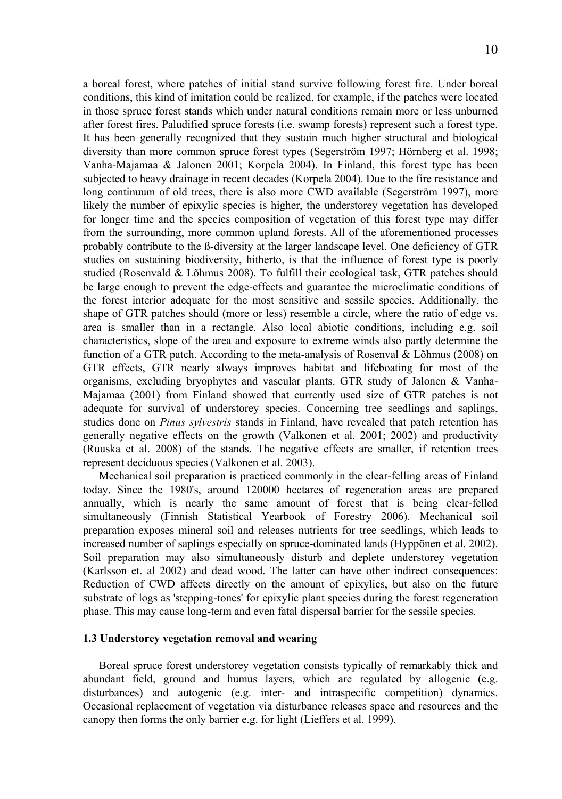a boreal forest, where patches of initial stand survive following forest fire. Under boreal conditions, this kind of imitation could be realized, for example, if the patches were located in those spruce forest stands which under natural conditions remain more or less unburned after forest fires. Paludified spruce forests (i.e. swamp forests) represent such a forest type. It has been generally recognized that they sustain much higher structural and biological diversity than more common spruce forest types (Segerström 1997; Hörnberg et al. 1998; Vanha-Majamaa & Jalonen 2001; Korpela 2004). In Finland, this forest type has been subjected to heavy drainage in recent decades (Korpela 2004). Due to the fire resistance and long continuum of old trees, there is also more CWD available (Segerström 1997), more likely the number of epixylic species is higher, the understorey vegetation has developed for longer time and the species composition of vegetation of this forest type may differ from the surrounding, more common upland forests. All of the aforementioned processes probably contribute to the ß-diversity at the larger landscape level. One deficiency of GTR studies on sustaining biodiversity, hitherto, is that the influence of forest type is poorly studied (Rosenvald & Lõhmus 2008). To fulfill their ecological task, GTR patches should be large enough to prevent the edge-effects and guarantee the microclimatic conditions of the forest interior adequate for the most sensitive and sessile species. Additionally, the shape of GTR patches should (more or less) resemble a circle, where the ratio of edge vs. area is smaller than in a rectangle. Also local abiotic conditions, including e.g. soil characteristics, slope of the area and exposure to extreme winds also partly determine the function of a GTR patch. According to the meta-analysis of Rosenval  $\&$  Lõhmus (2008) on GTR effects, GTR nearly always improves habitat and lifeboating for most of the organisms, excluding bryophytes and vascular plants. GTR study of Jalonen & Vanha-Majamaa (2001) from Finland showed that currently used size of GTR patches is not adequate for survival of understorey species. Concerning tree seedlings and saplings, studies done on *Pinus sylvestris* stands in Finland, have revealed that patch retention has generally negative effects on the growth (Valkonen et al. 2001; 2002) and productivity (Ruuska et al. 2008) of the stands. The negative effects are smaller, if retention trees represent deciduous species (Valkonen et al. 2003).

Mechanical soil preparation is practiced commonly in the clear-felling areas of Finland today. Since the 1980's, around 120000 hectares of regeneration areas are prepared annually, which is nearly the same amount of forest that is being clear-felled simultaneously (Finnish Statistical Yearbook of Forestry 2006). Mechanical soil preparation exposes mineral soil and releases nutrients for tree seedlings, which leads to increased number of saplings especially on spruce-dominated lands (Hyppönen et al. 2002). Soil preparation may also simultaneously disturb and deplete understorey vegetation (Karlsson et. al 2002) and dead wood. The latter can have other indirect consequences: Reduction of CWD affects directly on the amount of epixylics, but also on the future substrate of logs as 'stepping-tones' for epixylic plant species during the forest regeneration phase. This may cause long-term and even fatal dispersal barrier for the sessile species.

#### **1.3 Understorey vegetation removal and wearing**

Boreal spruce forest understorey vegetation consists typically of remarkably thick and abundant field, ground and humus layers, which are regulated by allogenic (e.g. disturbances) and autogenic (e.g. inter- and intraspecific competition) dynamics. Occasional replacement of vegetation via disturbance releases space and resources and the canopy then forms the only barrier e.g. for light (Lieffers et al. 1999).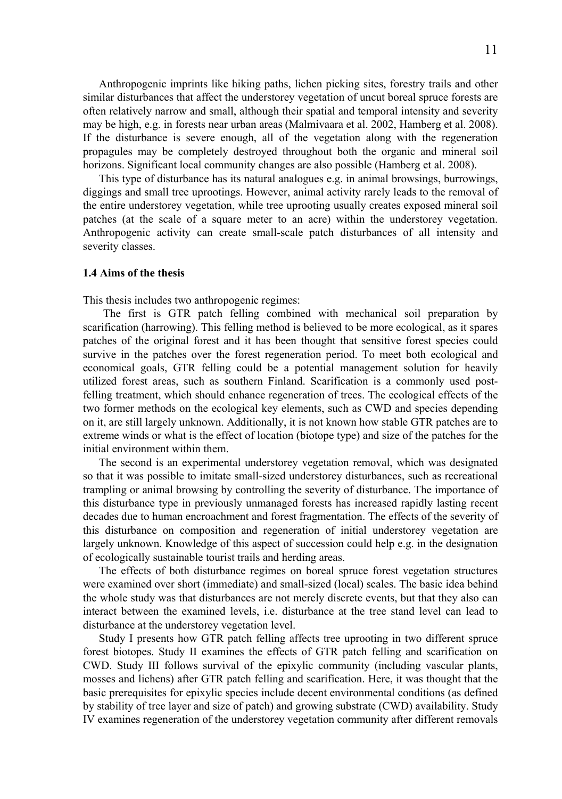Anthropogenic imprints like hiking paths, lichen picking sites, forestry trails and other similar disturbances that affect the understorey vegetation of uncut boreal spruce forests are often relatively narrow and small, although their spatial and temporal intensity and severity may be high, e.g. in forests near urban areas (Malmivaara et al. 2002, Hamberg et al. 2008). If the disturbance is severe enough, all of the vegetation along with the regeneration propagules may be completely destroyed throughout both the organic and mineral soil horizons. Significant local community changes are also possible (Hamberg et al. 2008).

This type of disturbance has its natural analogues e.g. in animal browsings, burrowings, diggings and small tree uprootings. However, animal activity rarely leads to the removal of the entire understorey vegetation, while tree uprooting usually creates exposed mineral soil patches (at the scale of a square meter to an acre) within the understorey vegetation. Anthropogenic activity can create small-scale patch disturbances of all intensity and severity classes.

#### **1.4 Aims of the thesis**

This thesis includes two anthropogenic regimes:

The first is GTR patch felling combined with mechanical soil preparation by scarification (harrowing). This felling method is believed to be more ecological, as it spares patches of the original forest and it has been thought that sensitive forest species could survive in the patches over the forest regeneration period. To meet both ecological and economical goals, GTR felling could be a potential management solution for heavily utilized forest areas, such as southern Finland. Scarification is a commonly used postfelling treatment, which should enhance regeneration of trees. The ecological effects of the two former methods on the ecological key elements, such as CWD and species depending on it, are still largely unknown. Additionally, it is not known how stable GTR patches are to extreme winds or what is the effect of location (biotope type) and size of the patches for the initial environment within them.

The second is an experimental understorey vegetation removal, which was designated so that it was possible to imitate small-sized understorey disturbances, such as recreational trampling or animal browsing by controlling the severity of disturbance. The importance of this disturbance type in previously unmanaged forests has increased rapidly lasting recent decades due to human encroachment and forest fragmentation. The effects of the severity of this disturbance on composition and regeneration of initial understorey vegetation are largely unknown. Knowledge of this aspect of succession could help e.g. in the designation of ecologically sustainable tourist trails and herding areas.

The effects of both disturbance regimes on boreal spruce forest vegetation structures were examined over short (immediate) and small-sized (local) scales. The basic idea behind the whole study was that disturbances are not merely discrete events, but that they also can interact between the examined levels, i.e. disturbance at the tree stand level can lead to disturbance at the understorey vegetation level.

Study I presents how GTR patch felling affects tree uprooting in two different spruce forest biotopes. Study II examines the effects of GTR patch felling and scarification on CWD. Study III follows survival of the epixylic community (including vascular plants, mosses and lichens) after GTR patch felling and scarification. Here, it was thought that the basic prerequisites for epixylic species include decent environmental conditions (as defined by stability of tree layer and size of patch) and growing substrate (CWD) availability. Study IV examines regeneration of the understorey vegetation community after different removals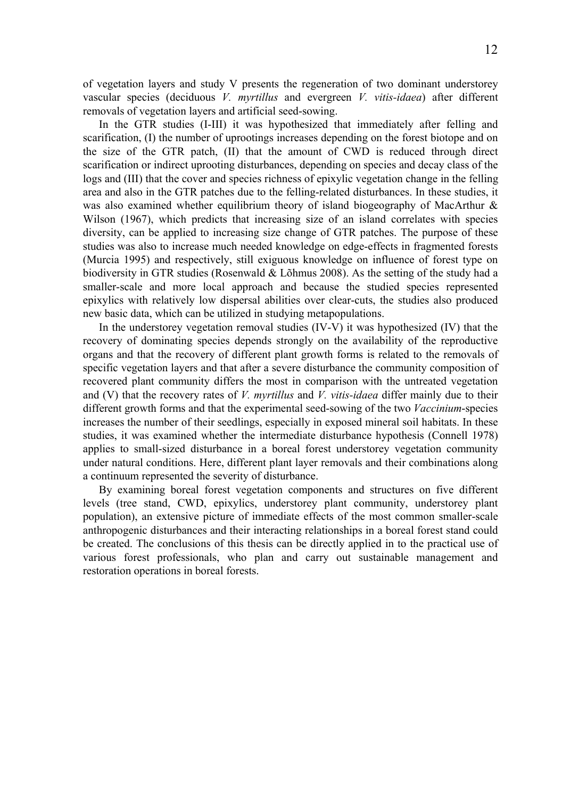of vegetation layers and study V presents the regeneration of two dominant understorey vascular species (deciduous *V. myrtillus* and evergreen *V. vitis-idaea*) after different removals of vegetation layers and artificial seed-sowing.

In the GTR studies (I-III) it was hypothesized that immediately after felling and scarification, (I) the number of uprootings increases depending on the forest biotope and on the size of the GTR patch, (II) that the amount of CWD is reduced through direct scarification or indirect uprooting disturbances, depending on species and decay class of the logs and (III) that the cover and species richness of epixylic vegetation change in the felling area and also in the GTR patches due to the felling-related disturbances. In these studies, it was also examined whether equilibrium theory of island biogeography of MacArthur & Wilson (1967), which predicts that increasing size of an island correlates with species diversity, can be applied to increasing size change of GTR patches. The purpose of these studies was also to increase much needed knowledge on edge-effects in fragmented forests (Murcia 1995) and respectively, still exiguous knowledge on influence of forest type on biodiversity in GTR studies (Rosenwald & Lõhmus 2008). As the setting of the study had a smaller-scale and more local approach and because the studied species represented epixylics with relatively low dispersal abilities over clear-cuts, the studies also produced new basic data, which can be utilized in studying metapopulations.

In the understorey vegetation removal studies (IV-V) it was hypothesized (IV) that the recovery of dominating species depends strongly on the availability of the reproductive organs and that the recovery of different plant growth forms is related to the removals of specific vegetation layers and that after a severe disturbance the community composition of recovered plant community differs the most in comparison with the untreated vegetation and (V) that the recovery rates of *V. myrtillus* and *V. vitis-idaea* differ mainly due to their different growth forms and that the experimental seed-sowing of the two *Vaccinium*-species increases the number of their seedlings, especially in exposed mineral soil habitats. In these studies, it was examined whether the intermediate disturbance hypothesis (Connell 1978) applies to small-sized disturbance in a boreal forest understorey vegetation community under natural conditions. Here, different plant layer removals and their combinations along a continuum represented the severity of disturbance.

By examining boreal forest vegetation components and structures on five different levels (tree stand, CWD, epixylics, understorey plant community, understorey plant population), an extensive picture of immediate effects of the most common smaller-scale anthropogenic disturbances and their interacting relationships in a boreal forest stand could be created. The conclusions of this thesis can be directly applied in to the practical use of various forest professionals, who plan and carry out sustainable management and restoration operations in boreal forests.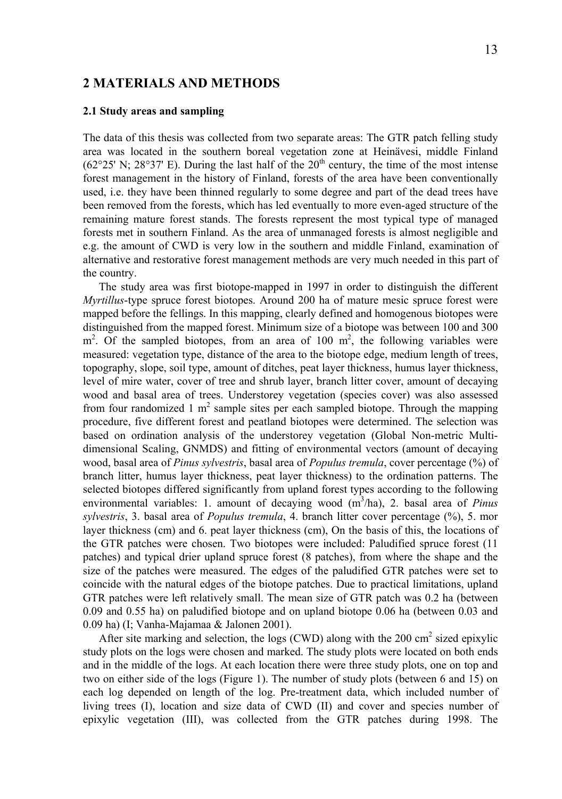# **2 MATERIALS AND METHODS**

#### **2.1 Study areas and sampling**

The data of this thesis was collected from two separate areas: The GTR patch felling study area was located in the southern boreal vegetation zone at Heinävesi, middle Finland  $(62^{\circ}25' \text{ N}; 28^{\circ}37' \text{ E})$ . During the last half of the  $20^{\text{th}}$  century, the time of the most intense forest management in the history of Finland, forests of the area have been conventionally used, i.e. they have been thinned regularly to some degree and part of the dead trees have been removed from the forests, which has led eventually to more even-aged structure of the remaining mature forest stands. The forests represent the most typical type of managed forests met in southern Finland. As the area of unmanaged forests is almost negligible and e.g. the amount of CWD is very low in the southern and middle Finland, examination of alternative and restorative forest management methods are very much needed in this part of the country.

The study area was first biotope-mapped in 1997 in order to distinguish the different *Myrtillus*-type spruce forest biotopes. Around 200 ha of mature mesic spruce forest were mapped before the fellings. In this mapping, clearly defined and homogenous biotopes were distinguished from the mapped forest. Minimum size of a biotope was between 100 and 300  $m<sup>2</sup>$ . Of the sampled biotopes, from an area of 100  $m<sup>2</sup>$ , the following variables were measured: vegetation type, distance of the area to the biotope edge, medium length of trees, topography, slope, soil type, amount of ditches, peat layer thickness, humus layer thickness, level of mire water, cover of tree and shrub layer, branch litter cover, amount of decaying wood and basal area of trees. Understorey vegetation (species cover) was also assessed from four randomized 1  $m^2$  sample sites per each sampled biotope. Through the mapping procedure, five different forest and peatland biotopes were determined. The selection was based on ordination analysis of the understorey vegetation (Global Non-metric Multidimensional Scaling, GNMDS) and fitting of environmental vectors (amount of decaying wood, basal area of *Pinus sylvestris*, basal area of *Populus tremula*, cover percentage (%) of branch litter, humus layer thickness, peat layer thickness) to the ordination patterns. The selected biotopes differed significantly from upland forest types according to the following environmental variables: 1. amount of decaying wood  $(m^3/ha)$ , 2. basal area of *Pinus sylvestris*, 3. basal area of *Populus tremula*, 4. branch litter cover percentage (%), 5. mor layer thickness (cm) and 6. peat layer thickness (cm), On the basis of this, the locations of the GTR patches were chosen. Two biotopes were included: Paludified spruce forest (11 patches) and typical drier upland spruce forest (8 patches), from where the shape and the size of the patches were measured. The edges of the paludified GTR patches were set to coincide with the natural edges of the biotope patches. Due to practical limitations, upland GTR patches were left relatively small. The mean size of GTR patch was 0.2 ha (between 0.09 and 0.55 ha) on paludified biotope and on upland biotope 0.06 ha (between 0.03 and 0.09 ha) (I; Vanha-Majamaa & Jalonen 2001).

After site marking and selection, the logs (CWD) along with the 200 cm<sup>2</sup> sized epixylic study plots on the logs were chosen and marked. The study plots were located on both ends and in the middle of the logs. At each location there were three study plots, one on top and two on either side of the logs (Figure 1). The number of study plots (between 6 and 15) on each log depended on length of the log. Pre-treatment data, which included number of living trees (I), location and size data of CWD (II) and cover and species number of epixylic vegetation (III), was collected from the GTR patches during 1998. The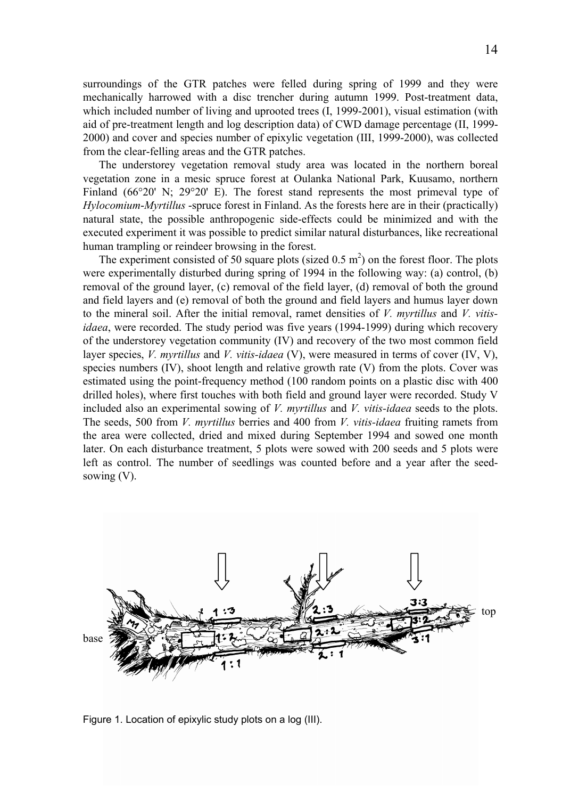surroundings of the GTR patches were felled during spring of 1999 and they were mechanically harrowed with a disc trencher during autumn 1999. Post-treatment data, which included number of living and uprooted trees  $(I, 1999-2001)$ , visual estimation (with aid of pre-treatment length and log description data) of CWD damage percentage (II, 1999- 2000) and cover and species number of epixylic vegetation (III, 1999-2000), was collected from the clear-felling areas and the GTR patches.

The understorey vegetation removal study area was located in the northern boreal vegetation zone in a mesic spruce forest at Oulanka National Park, Kuusamo, northern Finland (66°20' N; 29°20' E). The forest stand represents the most primeval type of *Hylocomium*-*Myrtillus* -spruce forest in Finland. As the forests here are in their (practically) natural state, the possible anthropogenic side-effects could be minimized and with the executed experiment it was possible to predict similar natural disturbances, like recreational human trampling or reindeer browsing in the forest.

The experiment consisted of 50 square plots (sized  $0.5 \text{ m}^2$ ) on the forest floor. The plots were experimentally disturbed during spring of 1994 in the following way: (a) control, (b) removal of the ground layer, (c) removal of the field layer, (d) removal of both the ground and field layers and (e) removal of both the ground and field layers and humus layer down to the mineral soil. After the initial removal, ramet densities of *V. myrtillus* and *V. vitisidaea*, were recorded. The study period was five years (1994-1999) during which recovery of the understorey vegetation community (IV) and recovery of the two most common field layer species, *V. myrtillus* and *V. vitis-idaea* (V), were measured in terms of cover (IV, V), species numbers (IV), shoot length and relative growth rate (V) from the plots. Cover was estimated using the point-frequency method (100 random points on a plastic disc with 400 drilled holes), where first touches with both field and ground layer were recorded. Study V included also an experimental sowing of *V. myrtillus* and *V. vitis-idaea* seeds to the plots. The seeds, 500 from *V. myrtillus* berries and 400 from *V. vitis-idaea* fruiting ramets from the area were collected, dried and mixed during September 1994 and sowed one month later. On each disturbance treatment, 5 plots were sowed with 200 seeds and 5 plots were left as control. The number of seedlings was counted before and a year after the seedsowing (V).



Figure 1. Location of epixylic study plots on a log (III).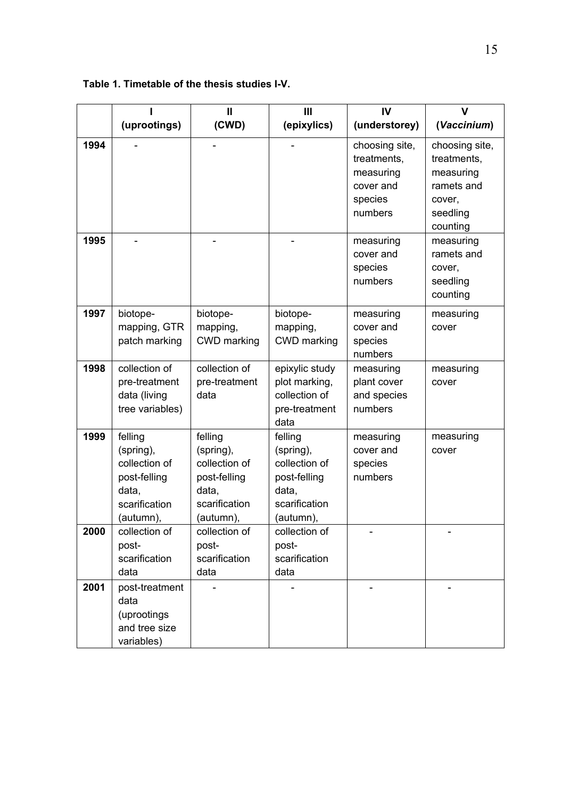|      |                                                                                              | Ш                                                                                            | Ш                                                                                            | IV                                                                            |                                                                                            |
|------|----------------------------------------------------------------------------------------------|----------------------------------------------------------------------------------------------|----------------------------------------------------------------------------------------------|-------------------------------------------------------------------------------|--------------------------------------------------------------------------------------------|
|      | (uprootings)                                                                                 | (CWD)                                                                                        | (epixylics)                                                                                  | (understorey)                                                                 | (Vaccinium)                                                                                |
| 1994 |                                                                                              |                                                                                              |                                                                                              | choosing site,<br>treatments,<br>measuring<br>cover and<br>species<br>numbers | choosing site,<br>treatments,<br>measuring<br>ramets and<br>cover,<br>seedling<br>counting |
| 1995 |                                                                                              |                                                                                              |                                                                                              | measuring<br>cover and<br>species<br>numbers                                  | measuring<br>ramets and<br>cover.<br>seedling<br>counting                                  |
| 1997 | biotope-<br>mapping, GTR<br>patch marking                                                    | biotope-<br>mapping,<br>CWD marking                                                          | biotope-<br>mapping,<br>CWD marking                                                          | measuring<br>cover and<br>species<br>numbers                                  | measuring<br>cover                                                                         |
| 1998 | collection of<br>pre-treatment<br>data (living<br>tree variables)                            | collection of<br>pre-treatment<br>data                                                       | epixylic study<br>plot marking,<br>collection of<br>pre-treatment<br>data                    | measuring<br>plant cover<br>and species<br>numbers                            | measuring<br>cover                                                                         |
| 1999 | felling<br>(spring),<br>collection of<br>post-felling<br>data.<br>scarification<br>(autumn), | felling<br>(spring),<br>collection of<br>post-felling<br>data.<br>scarification<br>(autumn), | felling<br>(spring),<br>collection of<br>post-felling<br>data.<br>scarification<br>(autumn), | measuring<br>cover and<br>species<br>numbers                                  | measuring<br>cover                                                                         |
| 2000 | collection of<br>post-<br>scarification<br>data                                              | collection of<br>post-<br>scarification<br>data                                              | collection of<br>post-<br>scarification<br>data                                              |                                                                               |                                                                                            |
| 2001 | post-treatment<br>data<br>(uprootings<br>and tree size<br>variables)                         |                                                                                              |                                                                                              |                                                                               |                                                                                            |

**Table 1. Timetable of the thesis studies I-V.**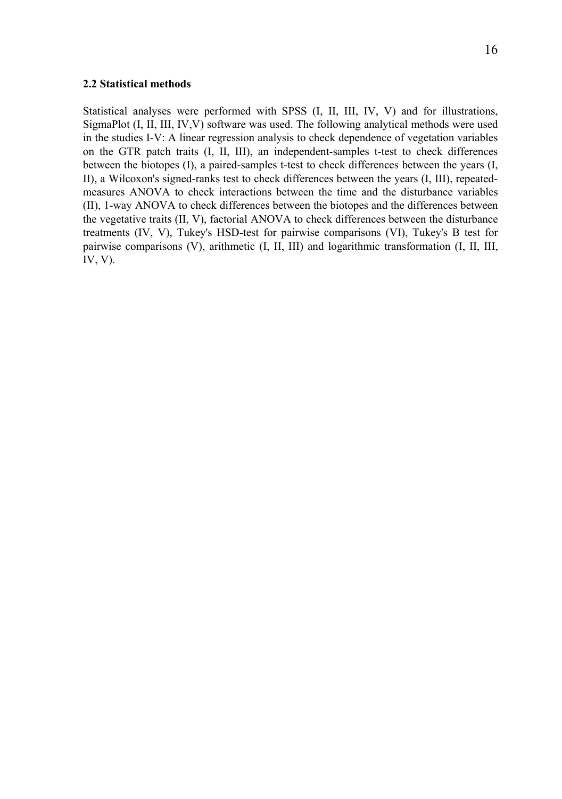#### **2.2 Statistical methods**

Statistical analyses were performed with SPSS (I, II, III, IV, V) and for illustrations, SigmaPlot (I, II, III, IV,V) software was used. The following analytical methods were used in the studies I-V: A linear regression analysis to check dependence of vegetation variables on the GTR patch traits (I, II, III), an independent-samples t-test to check differences between the biotopes (I), a paired-samples t-test to check differences between the years (I, II), a Wilcoxon's signed-ranks test to check differences between the years (I, III), repeatedmeasures ANOVA to check interactions between the time and the disturbance variables (II), 1-way ANOVA to check differences between the biotopes and the differences between the vegetative traits (II, V), factorial ANOVA to check differences between the disturbance treatments (IV, V), Tukey's HSD-test for pairwise comparisons (VI), Tukey's B test for pairwise comparisons (V), arithmetic (I, II, III) and logarithmic transformation (I, II, III, IV, V).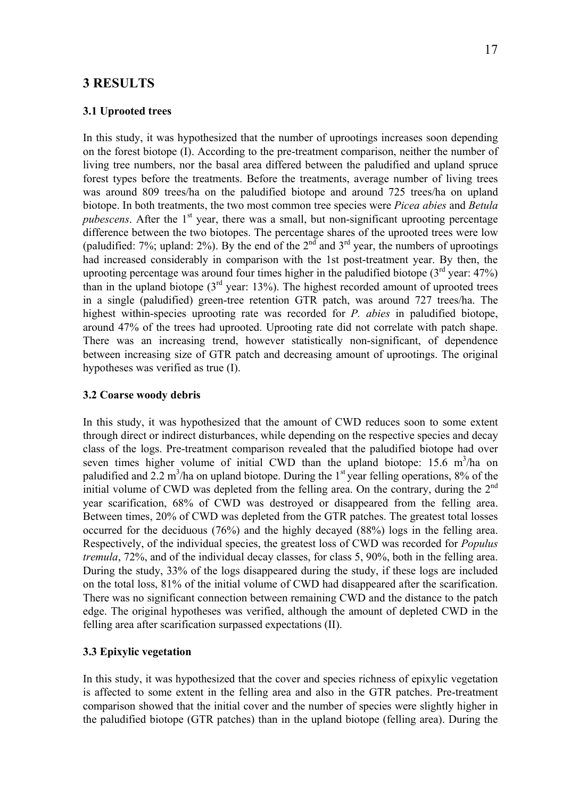# **3 RESULTS**

#### **3.1 Uprooted trees**

In this study, it was hypothesized that the number of uprootings increases soon depending on the forest biotope (I). According to the pre-treatment comparison, neither the number of living tree numbers, nor the basal area differed between the paludified and upland spruce forest types before the treatments. Before the treatments, average number of living trees was around 809 trees/ha on the paludified biotope and around 725 trees/ha on upland biotope. In both treatments, the two most common tree species were *Picea abies* and *Betula pubescens*. After the  $1<sup>st</sup>$  year, there was a small, but non-significant uprooting percentage difference between the two biotopes. The percentage shares of the uprooted trees were low (paludified: 7%; upland: 2%). By the end of the  $2<sup>nd</sup>$  and  $3<sup>rd</sup>$  year, the numbers of uprootings had increased considerably in comparison with the 1st post-treatment year. By then, the uprooting percentage was around four times higher in the paludified biotope  $(3<sup>rd</sup>$  year: 47%) than in the upland biotope  $(3<sup>rd</sup>$  year: 13%). The highest recorded amount of uprooted trees in a single (paludified) green-tree retention GTR patch, was around 727 trees/ha. The highest within-species uprooting rate was recorded for *P. abies* in paludified biotope, around 47% of the trees had uprooted. Uprooting rate did not correlate with patch shape. There was an increasing trend, however statistically non-significant, of dependence between increasing size of GTR patch and decreasing amount of uprootings. The original hypotheses was verified as true (I).

#### **3.2 Coarse woody debris**

In this study, it was hypothesized that the amount of CWD reduces soon to some extent through direct or indirect disturbances, while depending on the respective species and decay class of the logs. Pre-treatment comparison revealed that the paludified biotope had over seven times higher volume of initial CWD than the upland biotope:  $15.6 \text{ m}^3/\text{ha}$  on paludified and 2.2 m<sup>3</sup>/ha on upland biotope. During the 1<sup>st</sup> year felling operations, 8% of the initial volume of CWD was depleted from the felling area. On the contrary, during the  $2<sup>nd</sup>$ year scarification, 68% of CWD was destroyed or disappeared from the felling area. Between times, 20% of CWD was depleted from the GTR patches. The greatest total losses occurred for the deciduous (76%) and the highly decayed (88%) logs in the felling area. Respectively, of the individual species, the greatest loss of CWD was recorded for *Populus tremula*, 72%, and of the individual decay classes, for class 5, 90%, both in the felling area. During the study, 33% of the logs disappeared during the study, if these logs are included on the total loss, 81% of the initial volume of CWD had disappeared after the scarification. There was no significant connection between remaining CWD and the distance to the patch edge. The original hypotheses was verified, although the amount of depleted CWD in the felling area after scarification surpassed expectations (II).

# **3.3 Epixylic vegetation**

In this study, it was hypothesized that the cover and species richness of epixylic vegetation is affected to some extent in the felling area and also in the GTR patches. Pre-treatment comparison showed that the initial cover and the number of species were slightly higher in the paludified biotope (GTR patches) than in the upland biotope (felling area). During the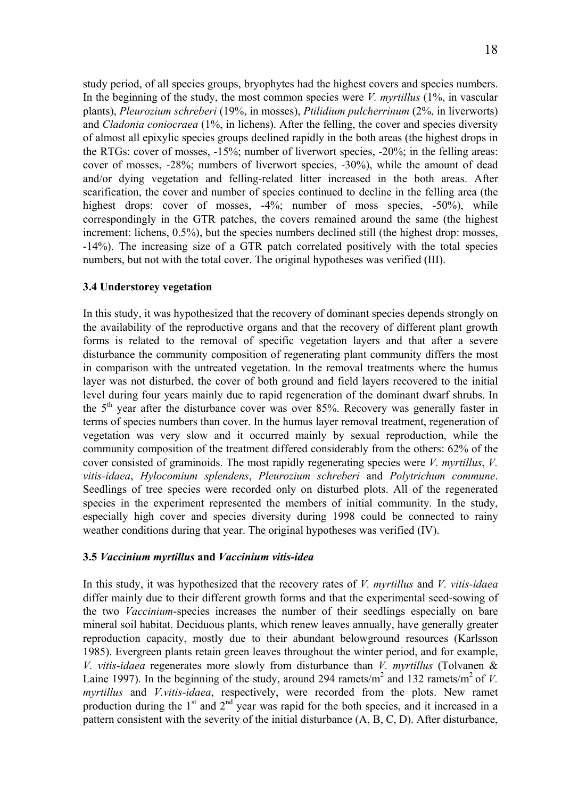study period, of all species groups, bryophytes had the highest covers and species numbers. In the beginning of the study, the most common species were *V. myrtillus* (1%, in vascular plants), *Pleurozium schreberi* (19%, in mosses), *Ptilidium pulcherrinum* (2%, in liverworts) and *Cladonia coniocraea* (1%, in lichens). After the felling, the cover and species diversity of almost all epixylic species groups declined rapidly in the both areas (the highest drops in the RTGs: cover of mosses, -15%; number of liverwort species, -20%; in the felling areas: cover of mosses, -28%; numbers of liverwort species, -30%), while the amount of dead and/or dying vegetation and felling-related litter increased in the both areas. After scarification, the cover and number of species continued to decline in the felling area (the highest drops: cover of mosses, -4%; number of moss species, -50%), while correspondingly in the GTR patches, the covers remained around the same (the highest increment: lichens, 0.5%), but the species numbers declined still (the highest drop: mosses, -14%). The increasing size of a GTR patch correlated positively with the total species numbers, but not with the total cover. The original hypotheses was verified (III).

# **3.4 Understorey vegetation**

In this study, it was hypothesized that the recovery of dominant species depends strongly on the availability of the reproductive organs and that the recovery of different plant growth forms is related to the removal of specific vegetation layers and that after a severe disturbance the community composition of regenerating plant community differs the most in comparison with the untreated vegetation. In the removal treatments where the humus layer was not disturbed, the cover of both ground and field layers recovered to the initial level during four years mainly due to rapid regeneration of the dominant dwarf shrubs. In the  $5<sup>th</sup>$  year after the disturbance cover was over 85%. Recovery was generally faster in terms of species numbers than cover. In the humus layer removal treatment, regeneration of vegetation was very slow and it occurred mainly by sexual reproduction, while the community composition of the treatment differed considerably from the others: 62% of the cover consisted of graminoids. The most rapidly regenerating species were *V. myrtillus*, *V. vitis-idaea*, *Hylocomium splendens*, *Pleurozium schreberi* and *Polytrichum commune*. Seedlings of tree species were recorded only on disturbed plots. All of the regenerated species in the experiment represented the members of initial community. In the study, especially high cover and species diversity during 1998 could be connected to rainy weather conditions during that year. The original hypotheses was verified (IV).

# **3.5** *Vaccinium myrtillus* **and** *Vaccinium vitis-idea*

In this study, it was hypothesized that the recovery rates of *V. myrtillus* and *V. vitis-idaea* differ mainly due to their different growth forms and that the experimental seed-sowing of the two *Vaccinium*-species increases the number of their seedlings especially on bare mineral soil habitat. Deciduous plants, which renew leaves annually, have generally greater reproduction capacity, mostly due to their abundant belowground resources (Karlsson 1985). Evergreen plants retain green leaves throughout the winter period, and for example, *V. vitis-idaea* regenerates more slowly from disturbance than *V. myrtillus* (Tolvanen & Laine 1997). In the beginning of the study, around 294 ramets/ $m^2$  and 132 ramets/ $m^2$  of *V*. *myrtillus* and *V.vitis-idaea*, respectively, were recorded from the plots. New ramet production during the  $1<sup>st</sup>$  and  $2<sup>nd</sup>$  year was rapid for the both species, and it increased in a pattern consistent with the severity of the initial disturbance (A, B, C, D). After disturbance,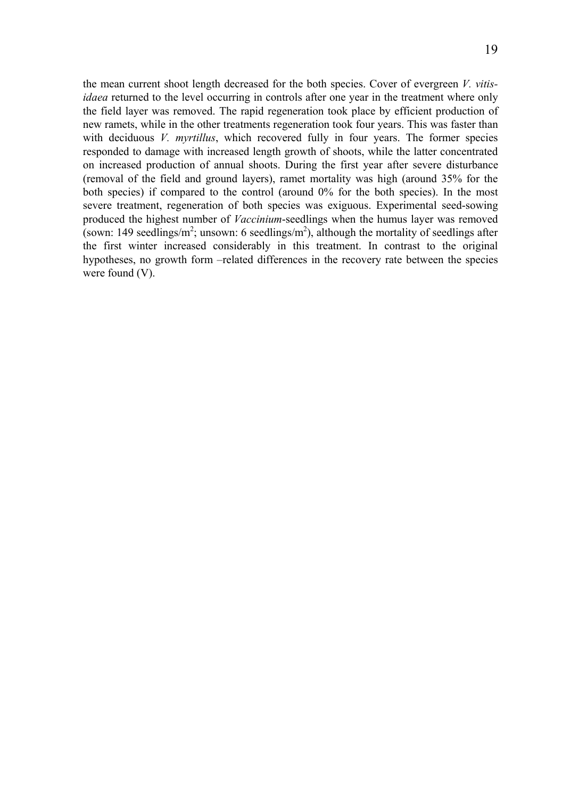the mean current shoot length decreased for the both species. Cover of evergreen *V. vitisidaea* returned to the level occurring in controls after one year in the treatment where only the field layer was removed. The rapid regeneration took place by efficient production of new ramets, while in the other treatments regeneration took four years. This was faster than with deciduous *V. myrtillus*, which recovered fully in four years. The former species responded to damage with increased length growth of shoots, while the latter concentrated on increased production of annual shoots. During the first year after severe disturbance (removal of the field and ground layers), ramet mortality was high (around 35% for the both species) if compared to the control (around 0% for the both species). In the most severe treatment, regeneration of both species was exiguous. Experimental seed-sowing produced the highest number of *Vaccinium*-seedlings when the humus layer was removed (sown: 149 seedlings/m<sup>2</sup>; unsown: 6 seedlings/m<sup>2</sup>), although the mortality of seedlings after the first winter increased considerably in this treatment. In contrast to the original hypotheses, no growth form –related differences in the recovery rate between the species were found (V).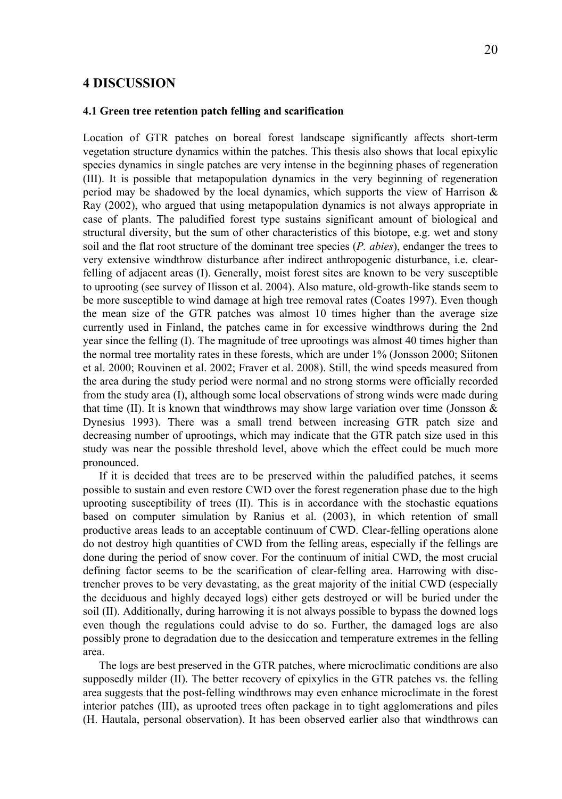# **4 DISCUSSION**

#### **4.1 Green tree retention patch felling and scarification**

Location of GTR patches on boreal forest landscape significantly affects short-term vegetation structure dynamics within the patches. This thesis also shows that local epixylic species dynamics in single patches are very intense in the beginning phases of regeneration (III). It is possible that metapopulation dynamics in the very beginning of regeneration period may be shadowed by the local dynamics, which supports the view of Harrison  $\&$ Ray (2002), who argued that using metapopulation dynamics is not always appropriate in case of plants. The paludified forest type sustains significant amount of biological and structural diversity, but the sum of other characteristics of this biotope, e.g. wet and stony soil and the flat root structure of the dominant tree species (*P. abies*), endanger the trees to very extensive windthrow disturbance after indirect anthropogenic disturbance, i.e. clearfelling of adjacent areas (I). Generally, moist forest sites are known to be very susceptible to uprooting (see survey of Ilisson et al. 2004). Also mature, old-growth-like stands seem to be more susceptible to wind damage at high tree removal rates (Coates 1997). Even though the mean size of the GTR patches was almost 10 times higher than the average size currently used in Finland, the patches came in for excessive windthrows during the 2nd year since the felling (I). The magnitude of tree uprootings was almost 40 times higher than the normal tree mortality rates in these forests, which are under 1% (Jonsson 2000; Siitonen et al. 2000; Rouvinen et al. 2002; Fraver et al. 2008). Still, the wind speeds measured from the area during the study period were normal and no strong storms were officially recorded from the study area (I), although some local observations of strong winds were made during that time (II). It is known that windthrows may show large variation over time (Jonsson  $\&$ Dynesius 1993). There was a small trend between increasing GTR patch size and decreasing number of uprootings, which may indicate that the GTR patch size used in this study was near the possible threshold level, above which the effect could be much more pronounced.

If it is decided that trees are to be preserved within the paludified patches, it seems possible to sustain and even restore CWD over the forest regeneration phase due to the high uprooting susceptibility of trees (II). This is in accordance with the stochastic equations based on computer simulation by Ranius et al. (2003), in which retention of small productive areas leads to an acceptable continuum of CWD. Clear-felling operations alone do not destroy high quantities of CWD from the felling areas, especially if the fellings are done during the period of snow cover. For the continuum of initial CWD, the most crucial defining factor seems to be the scarification of clear-felling area. Harrowing with disctrencher proves to be very devastating, as the great majority of the initial CWD (especially the deciduous and highly decayed logs) either gets destroyed or will be buried under the soil (II). Additionally, during harrowing it is not always possible to bypass the downed logs even though the regulations could advise to do so. Further, the damaged logs are also possibly prone to degradation due to the desiccation and temperature extremes in the felling area.

The logs are best preserved in the GTR patches, where microclimatic conditions are also supposedly milder (II). The better recovery of epixylics in the GTR patches vs. the felling area suggests that the post-felling windthrows may even enhance microclimate in the forest interior patches (III), as uprooted trees often package in to tight agglomerations and piles (H. Hautala, personal observation). It has been observed earlier also that windthrows can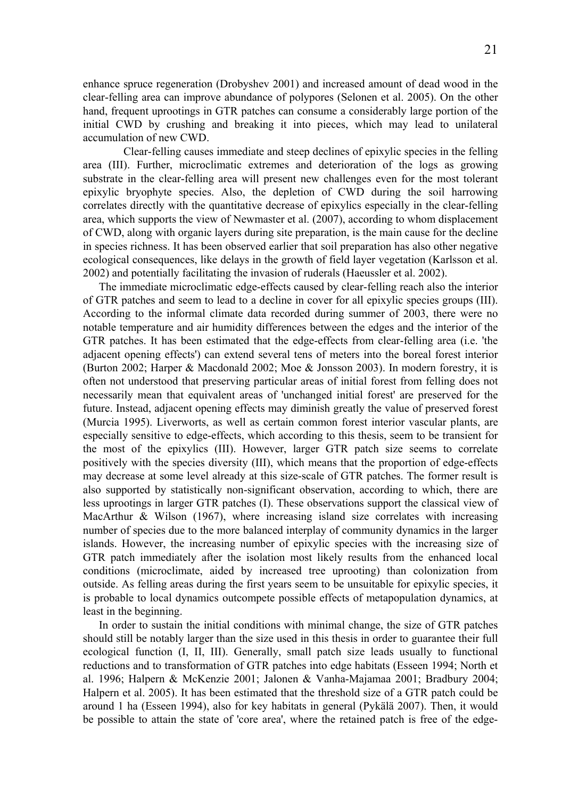enhance spruce regeneration (Drobyshev 2001) and increased amount of dead wood in the clear-felling area can improve abundance of polypores (Selonen et al. 2005). On the other hand, frequent uprootings in GTR patches can consume a considerably large portion of the initial CWD by crushing and breaking it into pieces, which may lead to unilateral accumulation of new CWD.

 Clear-felling causes immediate and steep declines of epixylic species in the felling area (III). Further, microclimatic extremes and deterioration of the logs as growing substrate in the clear-felling area will present new challenges even for the most tolerant epixylic bryophyte species. Also, the depletion of CWD during the soil harrowing correlates directly with the quantitative decrease of epixylics especially in the clear-felling area, which supports the view of Newmaster et al. (2007), according to whom displacement of CWD, along with organic layers during site preparation, is the main cause for the decline in species richness. It has been observed earlier that soil preparation has also other negative ecological consequences, like delays in the growth of field layer vegetation (Karlsson et al. 2002) and potentially facilitating the invasion of ruderals (Haeussler et al. 2002).

The immediate microclimatic edge-effects caused by clear-felling reach also the interior of GTR patches and seem to lead to a decline in cover for all epixylic species groups (III). According to the informal climate data recorded during summer of 2003, there were no notable temperature and air humidity differences between the edges and the interior of the GTR patches. It has been estimated that the edge-effects from clear-felling area (i.e. 'the adjacent opening effects') can extend several tens of meters into the boreal forest interior (Burton 2002; Harper & Macdonald 2002; Moe & Jonsson 2003). In modern forestry, it is often not understood that preserving particular areas of initial forest from felling does not necessarily mean that equivalent areas of 'unchanged initial forest' are preserved for the future. Instead, adjacent opening effects may diminish greatly the value of preserved forest (Murcia 1995). Liverworts, as well as certain common forest interior vascular plants, are especially sensitive to edge-effects, which according to this thesis, seem to be transient for the most of the epixylics (III). However, larger GTR patch size seems to correlate positively with the species diversity (III), which means that the proportion of edge-effects may decrease at some level already at this size-scale of GTR patches. The former result is also supported by statistically non-significant observation, according to which, there are less uprootings in larger GTR patches (I). These observations support the classical view of MacArthur & Wilson (1967), where increasing island size correlates with increasing number of species due to the more balanced interplay of community dynamics in the larger islands. However, the increasing number of epixylic species with the increasing size of GTR patch immediately after the isolation most likely results from the enhanced local conditions (microclimate, aided by increased tree uprooting) than colonization from outside. As felling areas during the first years seem to be unsuitable for epixylic species, it is probable to local dynamics outcompete possible effects of metapopulation dynamics, at least in the beginning.

In order to sustain the initial conditions with minimal change, the size of GTR patches should still be notably larger than the size used in this thesis in order to guarantee their full ecological function (I, II, III). Generally, small patch size leads usually to functional reductions and to transformation of GTR patches into edge habitats (Esseen 1994; North et al. 1996; Halpern & McKenzie 2001; Jalonen & Vanha-Majamaa 2001; Bradbury 2004; Halpern et al. 2005). It has been estimated that the threshold size of a GTR patch could be around 1 ha (Esseen 1994), also for key habitats in general (Pykälä 2007). Then, it would be possible to attain the state of 'core area', where the retained patch is free of the edge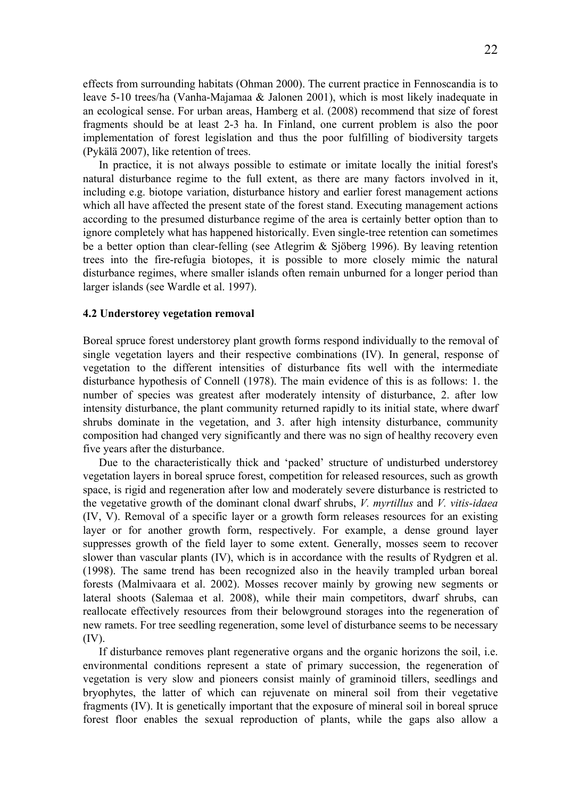effects from surrounding habitats (Ohman 2000). The current practice in Fennoscandia is to leave 5-10 trees/ha (Vanha-Majamaa & Jalonen 2001), which is most likely inadequate in an ecological sense. For urban areas, Hamberg et al. (2008) recommend that size of forest fragments should be at least 2-3 ha. In Finland, one current problem is also the poor implementation of forest legislation and thus the poor fulfilling of biodiversity targets (Pykälä 2007), like retention of trees.

In practice, it is not always possible to estimate or imitate locally the initial forest's natural disturbance regime to the full extent, as there are many factors involved in it, including e.g. biotope variation, disturbance history and earlier forest management actions which all have affected the present state of the forest stand. Executing management actions according to the presumed disturbance regime of the area is certainly better option than to ignore completely what has happened historically. Even single-tree retention can sometimes be a better option than clear-felling (see Atlegrim & Sjöberg 1996). By leaving retention trees into the fire-refugia biotopes, it is possible to more closely mimic the natural disturbance regimes, where smaller islands often remain unburned for a longer period than larger islands (see Wardle et al. 1997).

#### **4.2 Understorey vegetation removal**

Boreal spruce forest understorey plant growth forms respond individually to the removal of single vegetation layers and their respective combinations (IV). In general, response of vegetation to the different intensities of disturbance fits well with the intermediate disturbance hypothesis of Connell (1978). The main evidence of this is as follows: 1. the number of species was greatest after moderately intensity of disturbance, 2. after low intensity disturbance, the plant community returned rapidly to its initial state, where dwarf shrubs dominate in the vegetation, and 3. after high intensity disturbance, community composition had changed very significantly and there was no sign of healthy recovery even five years after the disturbance.

Due to the characteristically thick and 'packed' structure of undisturbed understorey vegetation layers in boreal spruce forest, competition for released resources, such as growth space, is rigid and regeneration after low and moderately severe disturbance is restricted to the vegetative growth of the dominant clonal dwarf shrubs, *V. myrtillus* and *V. vitis-idaea* (IV, V). Removal of a specific layer or a growth form releases resources for an existing layer or for another growth form, respectively. For example, a dense ground layer suppresses growth of the field layer to some extent. Generally, mosses seem to recover slower than vascular plants (IV), which is in accordance with the results of Rydgren et al. (1998). The same trend has been recognized also in the heavily trampled urban boreal forests (Malmivaara et al. 2002). Mosses recover mainly by growing new segments or lateral shoots (Salemaa et al. 2008), while their main competitors, dwarf shrubs, can reallocate effectively resources from their belowground storages into the regeneration of new ramets. For tree seedling regeneration, some level of disturbance seems to be necessary (IV).

If disturbance removes plant regenerative organs and the organic horizons the soil, i.e. environmental conditions represent a state of primary succession, the regeneration of vegetation is very slow and pioneers consist mainly of graminoid tillers, seedlings and bryophytes, the latter of which can rejuvenate on mineral soil from their vegetative fragments (IV). It is genetically important that the exposure of mineral soil in boreal spruce forest floor enables the sexual reproduction of plants, while the gaps also allow a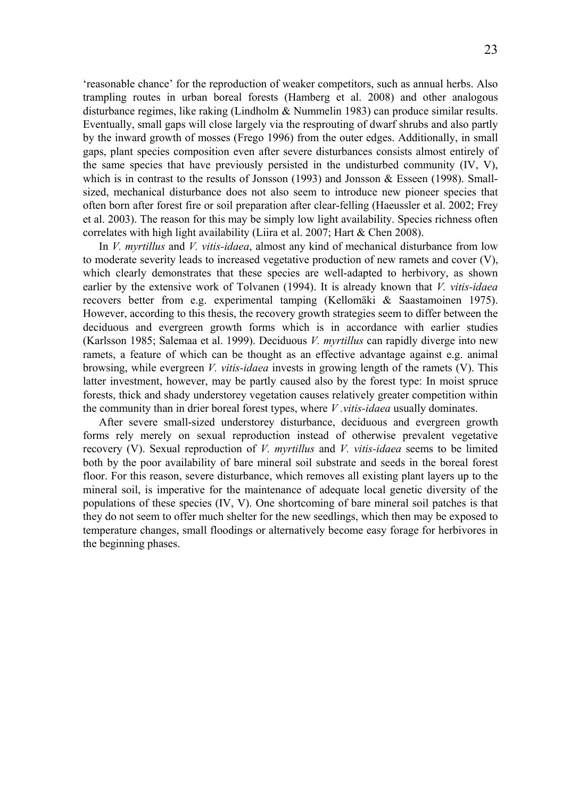'reasonable chance' for the reproduction of weaker competitors, such as annual herbs. Also trampling routes in urban boreal forests (Hamberg et al. 2008) and other analogous disturbance regimes, like raking (Lindholm & Nummelin 1983) can produce similar results. Eventually, small gaps will close largely via the resprouting of dwarf shrubs and also partly by the inward growth of mosses (Frego 1996) from the outer edges. Additionally, in small gaps, plant species composition even after severe disturbances consists almost entirely of the same species that have previously persisted in the undisturbed community  $(IV, V)$ , which is in contrast to the results of Jonsson (1993) and Jonsson  $\&$  Esseen (1998). Smallsized, mechanical disturbance does not also seem to introduce new pioneer species that often born after forest fire or soil preparation after clear-felling (Haeussler et al. 2002; Frey et al. 2003). The reason for this may be simply low light availability. Species richness often correlates with high light availability (Liira et al. 2007; Hart & Chen 2008).

In *V. myrtillus* and *V. vitis-idaea*, almost any kind of mechanical disturbance from low to moderate severity leads to increased vegetative production of new ramets and cover (V), which clearly demonstrates that these species are well-adapted to herbivory, as shown earlier by the extensive work of Tolvanen (1994). It is already known that *V. vitis-idaea* recovers better from e.g. experimental tamping (Kellomäki & Saastamoinen 1975). However, according to this thesis, the recovery growth strategies seem to differ between the deciduous and evergreen growth forms which is in accordance with earlier studies (Karlsson 1985; Salemaa et al. 1999). Deciduous *V. myrtillus* can rapidly diverge into new ramets, a feature of which can be thought as an effective advantage against e.g. animal browsing, while evergreen *V. vitis-idaea* invests in growing length of the ramets (V). This latter investment, however, may be partly caused also by the forest type: In moist spruce forests, thick and shady understorey vegetation causes relatively greater competition within the community than in drier boreal forest types, where *V .vitis-idaea* usually dominates.

After severe small-sized understorey disturbance, deciduous and evergreen growth forms rely merely on sexual reproduction instead of otherwise prevalent vegetative recovery (V). Sexual reproduction of *V. myrtillus* and *V. vitis-idaea* seems to be limited both by the poor availability of bare mineral soil substrate and seeds in the boreal forest floor. For this reason, severe disturbance, which removes all existing plant layers up to the mineral soil, is imperative for the maintenance of adequate local genetic diversity of the populations of these species (IV, V). One shortcoming of bare mineral soil patches is that they do not seem to offer much shelter for the new seedlings, which then may be exposed to temperature changes, small floodings or alternatively become easy forage for herbivores in the beginning phases.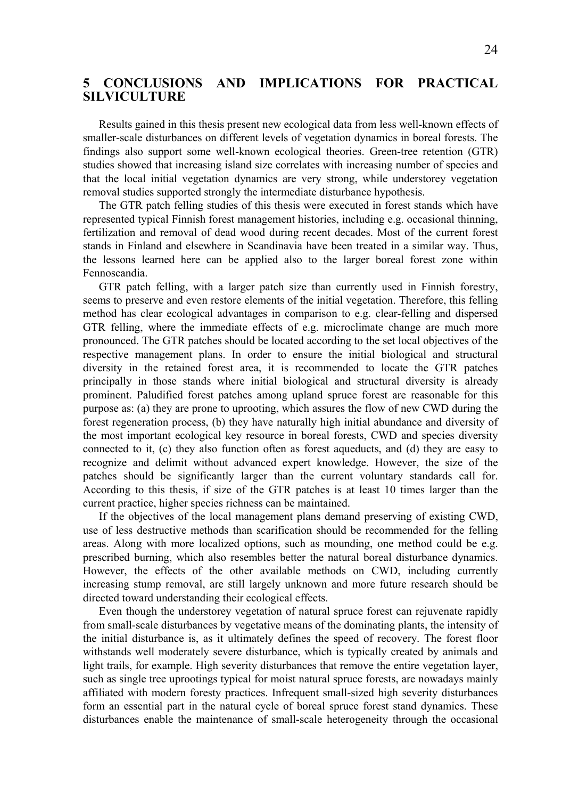# **5 CONCLUSIONS AND IMPLICATIONS FOR PRACTICAL SILVICULTURE**

Results gained in this thesis present new ecological data from less well-known effects of smaller-scale disturbances on different levels of vegetation dynamics in boreal forests. The findings also support some well-known ecological theories. Green-tree retention (GTR) studies showed that increasing island size correlates with increasing number of species and that the local initial vegetation dynamics are very strong, while understorey vegetation removal studies supported strongly the intermediate disturbance hypothesis.

The GTR patch felling studies of this thesis were executed in forest stands which have represented typical Finnish forest management histories, including e.g. occasional thinning, fertilization and removal of dead wood during recent decades. Most of the current forest stands in Finland and elsewhere in Scandinavia have been treated in a similar way. Thus, the lessons learned here can be applied also to the larger boreal forest zone within Fennoscandia.

GTR patch felling, with a larger patch size than currently used in Finnish forestry, seems to preserve and even restore elements of the initial vegetation. Therefore, this felling method has clear ecological advantages in comparison to e.g. clear-felling and dispersed GTR felling, where the immediate effects of e.g. microclimate change are much more pronounced. The GTR patches should be located according to the set local objectives of the respective management plans. In order to ensure the initial biological and structural diversity in the retained forest area, it is recommended to locate the GTR patches principally in those stands where initial biological and structural diversity is already prominent. Paludified forest patches among upland spruce forest are reasonable for this purpose as: (a) they are prone to uprooting, which assures the flow of new CWD during the forest regeneration process, (b) they have naturally high initial abundance and diversity of the most important ecological key resource in boreal forests, CWD and species diversity connected to it, (c) they also function often as forest aqueducts, and (d) they are easy to recognize and delimit without advanced expert knowledge. However, the size of the patches should be significantly larger than the current voluntary standards call for. According to this thesis, if size of the GTR patches is at least 10 times larger than the current practice, higher species richness can be maintained.

If the objectives of the local management plans demand preserving of existing CWD, use of less destructive methods than scarification should be recommended for the felling areas. Along with more localized options, such as mounding, one method could be e.g. prescribed burning, which also resembles better the natural boreal disturbance dynamics. However, the effects of the other available methods on CWD, including currently increasing stump removal, are still largely unknown and more future research should be directed toward understanding their ecological effects.

Even though the understorey vegetation of natural spruce forest can rejuvenate rapidly from small-scale disturbances by vegetative means of the dominating plants, the intensity of the initial disturbance is, as it ultimately defines the speed of recovery. The forest floor withstands well moderately severe disturbance, which is typically created by animals and light trails, for example. High severity disturbances that remove the entire vegetation layer, such as single tree uprootings typical for moist natural spruce forests, are nowadays mainly affiliated with modern foresty practices. Infrequent small-sized high severity disturbances form an essential part in the natural cycle of boreal spruce forest stand dynamics. These disturbances enable the maintenance of small-scale heterogeneity through the occasional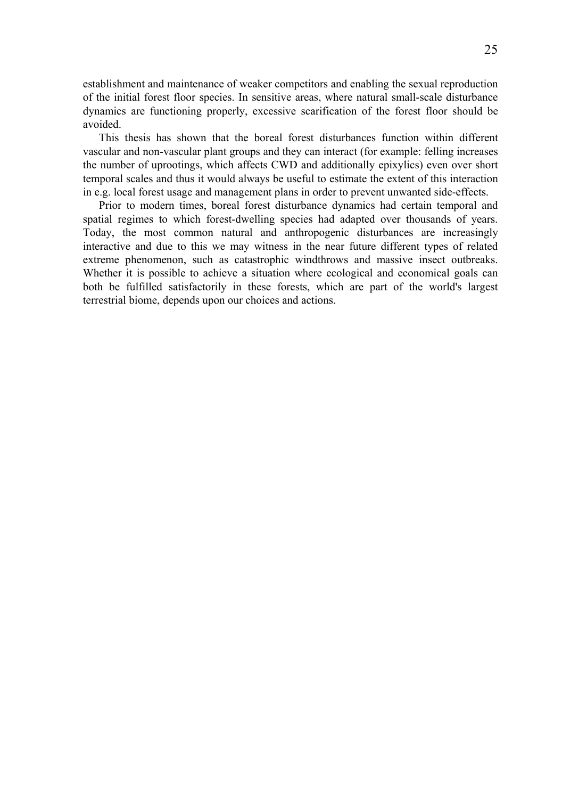establishment and maintenance of weaker competitors and enabling the sexual reproduction of the initial forest floor species. In sensitive areas, where natural small-scale disturbance dynamics are functioning properly, excessive scarification of the forest floor should be avoided.

This thesis has shown that the boreal forest disturbances function within different vascular and non-vascular plant groups and they can interact (for example: felling increases the number of uprootings, which affects CWD and additionally epixylics) even over short temporal scales and thus it would always be useful to estimate the extent of this interaction in e.g. local forest usage and management plans in order to prevent unwanted side-effects.

Prior to modern times, boreal forest disturbance dynamics had certain temporal and spatial regimes to which forest-dwelling species had adapted over thousands of years. Today, the most common natural and anthropogenic disturbances are increasingly interactive and due to this we may witness in the near future different types of related extreme phenomenon, such as catastrophic windthrows and massive insect outbreaks. Whether it is possible to achieve a situation where ecological and economical goals can both be fulfilled satisfactorily in these forests, which are part of the world's largest terrestrial biome, depends upon our choices and actions.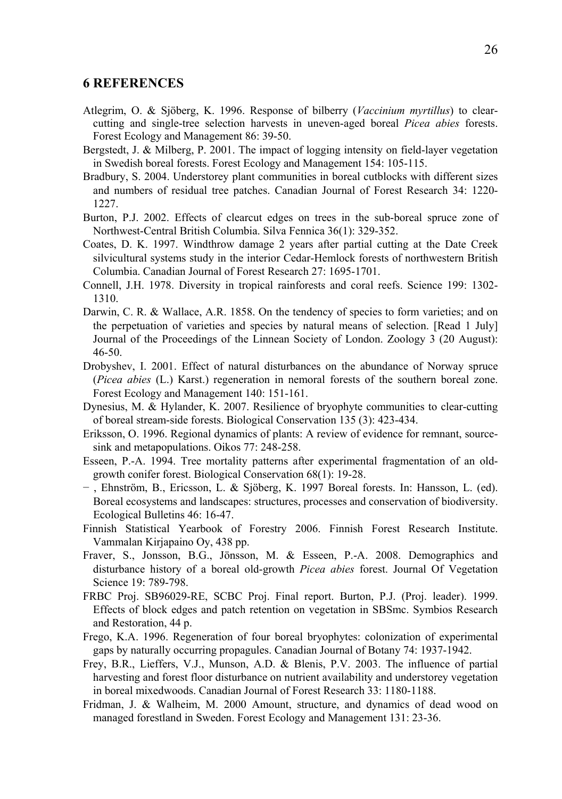# **6 REFERENCES**

- Atlegrim, O. & Sjöberg, K. 1996. Response of bilberry (*Vaccinium myrtillus*) to clearcutting and single-tree selection harvests in uneven-aged boreal *Picea abies* forests. Forest Ecology and Management 86: 39-50.
- Bergstedt, J. & Milberg, P. 2001. The impact of logging intensity on field-layer vegetation in Swedish boreal forests. Forest Ecology and Management 154: 105-115.
- Bradbury, S. 2004. Understorey plant communities in boreal cutblocks with different sizes and numbers of residual tree patches. Canadian Journal of Forest Research 34: 1220- 1227.
- Burton, P.J. 2002. Effects of clearcut edges on trees in the sub-boreal spruce zone of Northwest-Central British Columbia. Silva Fennica 36(1): 329-352.
- Coates, D. K. 1997. Windthrow damage 2 years after partial cutting at the Date Creek silvicultural systems study in the interior Cedar-Hemlock forests of northwestern British Columbia. Canadian Journal of Forest Research 27: 1695-1701.
- Connell, J.H. 1978. Diversity in tropical rainforests and coral reefs. Science 199: 1302- 1310.
- Darwin, C. R. & Wallace, A.R. 1858. On the tendency of species to form varieties; and on the perpetuation of varieties and species by natural means of selection. [Read 1 July] Journal of the Proceedings of the Linnean Society of London. Zoology 3 (20 August): 46-50.
- Drobyshev, I. 2001. Effect of natural disturbances on the abundance of Norway spruce (*Picea abies* (L.) Karst.) regeneration in nemoral forests of the southern boreal zone. Forest Ecology and Management 140: 151-161.
- Dynesius, M. & Hylander, K. 2007. Resilience of bryophyte communities to clear-cutting of boreal stream-side forests. Biological Conservation 135 (3): 423-434.
- Eriksson, O. 1996. Regional dynamics of plants: A review of evidence for remnant, sourcesink and metapopulations. Oikos 77: 248-258.
- Esseen, P.-A. 1994. Tree mortality patterns after experimental fragmentation of an oldgrowth conifer forest. Biological Conservation 68(1): 19-28.
- − , Ehnström, B., Ericsson, L. & Sjöberg, K. 1997 Boreal forests. In: Hansson, L. (ed). Boreal ecosystems and landscapes: structures, processes and conservation of biodiversity. Ecological Bulletins 46: 16-47.
- Finnish Statistical Yearbook of Forestry 2006. Finnish Forest Research Institute. Vammalan Kirjapaino Oy, 438 pp.
- Fraver, S., Jonsson, B.G., Jönsson, M. & Esseen, P.-A. 2008. Demographics and disturbance history of a boreal old-growth *Picea abies* forest. Journal Of Vegetation Science 19: 789-798.
- FRBC Proj. SB96029-RE, SCBC Proj. Final report. Burton, P.J. (Proj. leader). 1999. Effects of block edges and patch retention on vegetation in SBSmc. Symbios Research and Restoration, 44 p.
- Frego, K.A. 1996. Regeneration of four boreal bryophytes: colonization of experimental gaps by naturally occurring propagules. Canadian Journal of Botany 74: 1937-1942.
- Frey, B.R., Lieffers, V.J., Munson, A.D. & Blenis, P.V. 2003. The influence of partial harvesting and forest floor disturbance on nutrient availability and understorey vegetation in boreal mixedwoods. Canadian Journal of Forest Research 33: 1180-1188.
- Fridman, J. & Walheim, M. 2000 Amount, structure, and dynamics of dead wood on managed forestland in Sweden. Forest Ecology and Management 131: 23-36.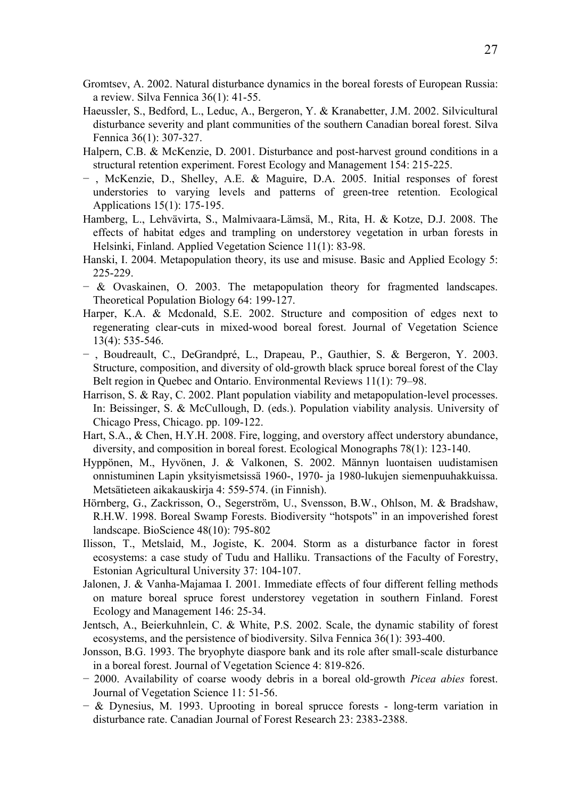- Gromtsev, A. 2002. Natural disturbance dynamics in the boreal forests of European Russia: a review. Silva Fennica 36(1): 41-55.
- Haeussler, S., Bedford, L., Leduc, A., Bergeron, Y. & Kranabetter, J.M. 2002. Silvicultural disturbance severity and plant communities of the southern Canadian boreal forest. Silva Fennica 36(1): 307-327.
- Halpern, C.B. & McKenzie, D. 2001. Disturbance and post-harvest ground conditions in a structural retention experiment. Forest Ecology and Management 154: 215-225.
- − , McKenzie, D., Shelley, A.E. & Maguire, D.A. 2005. Initial responses of forest understories to varying levels and patterns of green-tree retention. Ecological Applications 15(1): 175-195.
- Hamberg, L., Lehvävirta, S., Malmivaara-Lämsä, M., Rita, H. & Kotze, D.J. 2008. The effects of habitat edges and trampling on understorey vegetation in urban forests in Helsinki, Finland. Applied Vegetation Science 11(1): 83-98.
- Hanski, I. 2004. Metapopulation theory, its use and misuse. Basic and Applied Ecology 5: 225-229.
- − & Ovaskainen, O. 2003. The metapopulation theory for fragmented landscapes. Theoretical Population Biology 64: 199-127.
- Harper, K.A. & Mcdonald, S.E. 2002. Structure and composition of edges next to regenerating clear-cuts in mixed-wood boreal forest. Journal of Vegetation Science 13(4): 535-546.
- − , Boudreault, C., DeGrandpré, L., Drapeau, P., Gauthier, S. & Bergeron, Y. 2003. Structure, composition, and diversity of old-growth black spruce boreal forest of the Clay Belt region in Quebec and Ontario. Environmental Reviews 11(1): 79–98.
- Harrison, S. & Ray, C. 2002. Plant population viability and metapopulation-level processes. In: Beissinger, S. & McCullough, D. (eds.). Population viability analysis. University of Chicago Press, Chicago. pp. 109-122.
- Hart, S.A., & Chen, H.Y.H. 2008. Fire, logging, and overstory affect understory abundance, diversity, and composition in boreal forest. Ecological Monographs 78(1): 123-140.
- Hyppönen, M., Hyvönen, J. & Valkonen, S. 2002. Männyn luontaisen uudistamisen onnistuminen Lapin yksityismetsissä 1960-, 1970- ja 1980-lukujen siemenpuuhakkuissa. Metsätieteen aikakauskirja 4: 559-574. (in Finnish).
- Hörnberg, G., Zackrisson, O., Segerström, U., Svensson, B.W., Ohlson, M. & Bradshaw, R.H.W. 1998. Boreal Swamp Forests. Biodiversity "hotspots" in an impoverished forest landscape. BioScience 48(10): 795-802
- Ilisson, T., Metslaid, M., Jogiste, K. 2004. Storm as a disturbance factor in forest ecosystems: a case study of Tudu and Halliku. Transactions of the Faculty of Forestry, Estonian Agricultural University 37: 104-107.
- Jalonen, J. & Vanha-Majamaa I. 2001. Immediate effects of four different felling methods on mature boreal spruce forest understorey vegetation in southern Finland. Forest Ecology and Management 146: 25-34.
- Jentsch, A., Beierkuhnlein, C. & White, P.S. 2002. Scale, the dynamic stability of forest ecosystems, and the persistence of biodiversity. Silva Fennica 36(1): 393-400.
- Jonsson, B.G. 1993. The bryophyte diaspore bank and its role after small-scale disturbance in a boreal forest. Journal of Vegetation Science 4: 819-826.
- − 2000. Availability of coarse woody debris in a boreal old-growth *Picea abies* forest. Journal of Vegetation Science 11: 51-56.
- − & Dynesius, M. 1993. Uprooting in boreal sprucce forests long-term variation in disturbance rate. Canadian Journal of Forest Research 23: 2383-2388.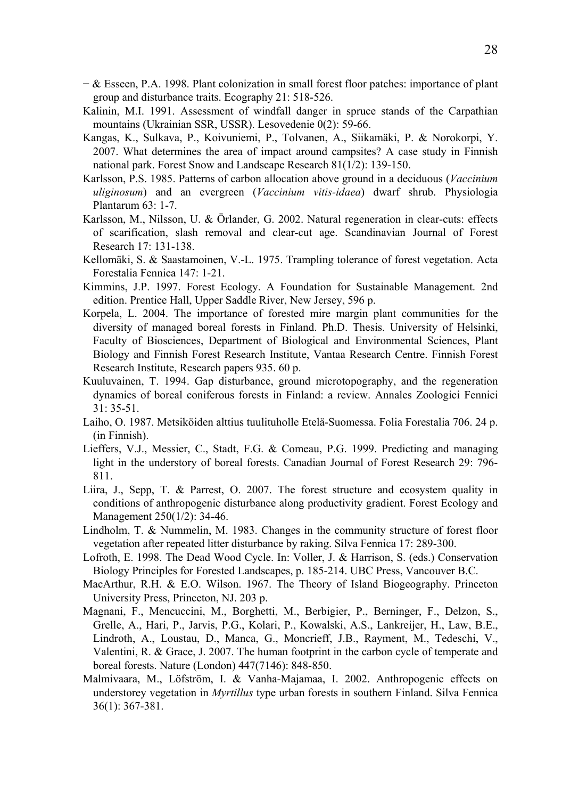- − & Esseen, P.A. 1998. Plant colonization in small forest floor patches: importance of plant group and disturbance traits. Ecography 21: 518-526.
- Kalinin, M.I. 1991. Assessment of windfall danger in spruce stands of the Carpathian mountains (Ukrainian SSR, USSR). Lesovedenie 0(2): 59-66.
- Kangas, K., Sulkava, P., Koivuniemi, P., Tolvanen, A., Siikamäki, P. & Norokorpi, Y. 2007. What determines the area of impact around campsites? A case study in Finnish national park. Forest Snow and Landscape Research 81(1/2): 139-150.
- Karlsson, P.S. 1985. Patterns of carbon allocation above ground in a deciduous (*Vaccinium uliginosum*) and an evergreen (*Vaccinium vitis-idaea*) dwarf shrub. Physiologia Plantarum 63: 1-7.
- Karlsson, M., Nilsson, U. & Örlander, G. 2002. Natural regeneration in clear-cuts: effects of scarification, slash removal and clear-cut age. Scandinavian Journal of Forest Research 17: 131-138.
- Kellomäki, S. & Saastamoinen, V.-L. 1975. Trampling tolerance of forest vegetation. Acta Forestalia Fennica 147: 1-21.
- Kimmins, J.P. 1997. Forest Ecology. A Foundation for Sustainable Management. 2nd edition. Prentice Hall, Upper Saddle River, New Jersey, 596 p.
- Korpela, L. 2004. The importance of forested mire margin plant communities for the diversity of managed boreal forests in Finland. Ph.D. Thesis. University of Helsinki, Faculty of Biosciences, Department of Biological and Environmental Sciences, Plant Biology and Finnish Forest Research Institute, Vantaa Research Centre. Finnish Forest Research Institute, Research papers 935. 60 p.
- Kuuluvainen, T. 1994. Gap disturbance, ground microtopography, and the regeneration dynamics of boreal coniferous forests in Finland: a review. Annales Zoologici Fennici 31: 35-51.
- Laiho, O. 1987. Metsiköiden alttius tuulituholle Etelä-Suomessa. Folia Forestalia 706. 24 p. (in Finnish).
- Lieffers, V.J., Messier, C., Stadt, F.G. & Comeau, P.G. 1999. Predicting and managing light in the understory of boreal forests. Canadian Journal of Forest Research 29: 796- 811.
- Liira, J., Sepp, T. & Parrest, O. 2007. The forest structure and ecosystem quality in conditions of anthropogenic disturbance along productivity gradient. Forest Ecology and Management 250(1/2): 34-46.
- Lindholm, T. & Nummelin, M. 1983. Changes in the community structure of forest floor vegetation after repeated litter disturbance by raking. Silva Fennica 17: 289-300.
- Lofroth, E. 1998. The Dead Wood Cycle. In: Voller, J. & Harrison, S. (eds.) Conservation Biology Principles for Forested Landscapes, p. 185-214. UBC Press, Vancouver B.C.
- MacArthur, R.H. & E.O. Wilson. 1967. The Theory of Island Biogeography. Princeton University Press, Princeton, NJ. 203 p.
- Magnani, F., Mencuccini, M., Borghetti, M., Berbigier, P., Berninger, F., Delzon, S., Grelle, A., Hari, P., Jarvis, P.G., Kolari, P., Kowalski, A.S., Lankreijer, H., Law, B.E., Lindroth, A., Loustau, D., Manca, G., Moncrieff, J.B., Rayment, M., Tedeschi, V., Valentini, R. & Grace, J. 2007. The human footprint in the carbon cycle of temperate and boreal forests. Nature (London) 447(7146): 848-850.
- Malmivaara, M., Löfström, I. & Vanha-Majamaa, I. 2002. Anthropogenic effects on understorey vegetation in *Myrtillus* type urban forests in southern Finland. Silva Fennica 36(1): 367-381.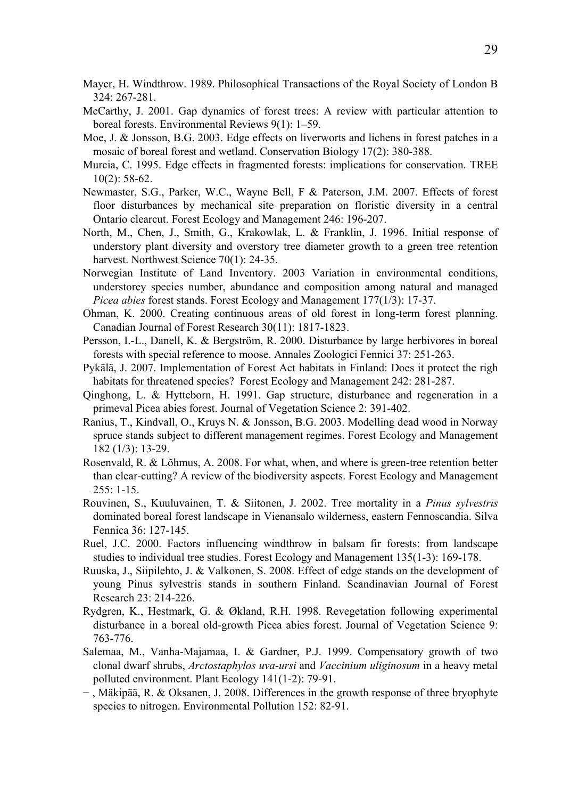- Mayer, H. Windthrow. 1989. Philosophical Transactions of the Royal Society of London B 324: 267-281.
- McCarthy, J. 2001. Gap dynamics of forest trees: A review with particular attention to boreal forests. Environmental Reviews 9(1): 1–59.
- Moe, J. & Jonsson, B.G. 2003. Edge effects on liverworts and lichens in forest patches in a mosaic of boreal forest and wetland. Conservation Biology 17(2): 380-388.
- Murcia, C. 1995. Edge effects in fragmented forests: implications for conservation. TREE 10(2): 58-62.
- Newmaster, S.G., Parker, W.C., Wayne Bell, F & Paterson, J.M. 2007. Effects of forest floor disturbances by mechanical site preparation on floristic diversity in a central Ontario clearcut. Forest Ecology and Management 246: 196-207.
- North, M., Chen, J., Smith, G., Krakowlak, L. & Franklin, J. 1996. Initial response of understory plant diversity and overstory tree diameter growth to a green tree retention harvest. Northwest Science 70(1): 24-35.
- Norwegian Institute of Land Inventory. 2003 Variation in environmental conditions, understorey species number, abundance and composition among natural and managed *Picea abies* forest stands. Forest Ecology and Management 177(1/3): 17-37.
- Ohman, K. 2000. Creating continuous areas of old forest in long-term forest planning. Canadian Journal of Forest Research 30(11): 1817-1823.
- Persson, I.-L., Danell, K. & Bergström, R. 2000. Disturbance by large herbivores in boreal forests with special reference to moose. Annales Zoologici Fennici 37: 251-263.
- Pykälä, J. 2007. Implementation of Forest Act habitats in Finland: Does it protect the righ habitats for threatened species? Forest Ecology and Management 242: 281-287.
- Qinghong, L. & Hytteborn, H. 1991. Gap structure, disturbance and regeneration in a primeval Picea abies forest. Journal of Vegetation Science 2: 391-402.
- Ranius, T., Kindvall, O., Kruys N. & Jonsson, B.G. 2003. Modelling dead wood in Norway spruce stands subject to different management regimes. Forest Ecology and Management 182 (1/3): 13-29.
- Rosenvald, R. & Lõhmus, A. 2008. For what, when, and where is green-tree retention better than clear-cutting? A review of the biodiversity aspects. Forest Ecology and Management  $255:1 - 15$ .
- Rouvinen, S., Kuuluvainen, T. & Siitonen, J. 2002. Tree mortality in a *Pinus sylvestris* dominated boreal forest landscape in Vienansalo wilderness, eastern Fennoscandia. Silva Fennica 36: 127-145.
- Ruel, J.C. 2000. Factors influencing windthrow in balsam fir forests: from landscape studies to individual tree studies. Forest Ecology and Management 135(1-3): 169-178.
- Ruuska, J., Siipilehto, J. & Valkonen, S. 2008. Effect of edge stands on the development of young Pinus sylvestris stands in southern Finland. Scandinavian Journal of Forest Research 23: 214-226.
- Rydgren, K., Hestmark, G. & Økland, R.H. 1998. Revegetation following experimental disturbance in a boreal old-growth Picea abies forest. Journal of Vegetation Science 9: 763-776.
- Salemaa, M., Vanha-Majamaa, I. & Gardner, P.J. 1999. Compensatory growth of two clonal dwarf shrubs, *Arctostaphylos uva-ursi* and *Vaccinium uliginosum* in a heavy metal polluted environment. Plant Ecology 141(1-2): 79-91.
- − , Mäkipää, R. & Oksanen, J. 2008. Differences in the growth response of three bryophyte species to nitrogen. Environmental Pollution 152: 82-91.